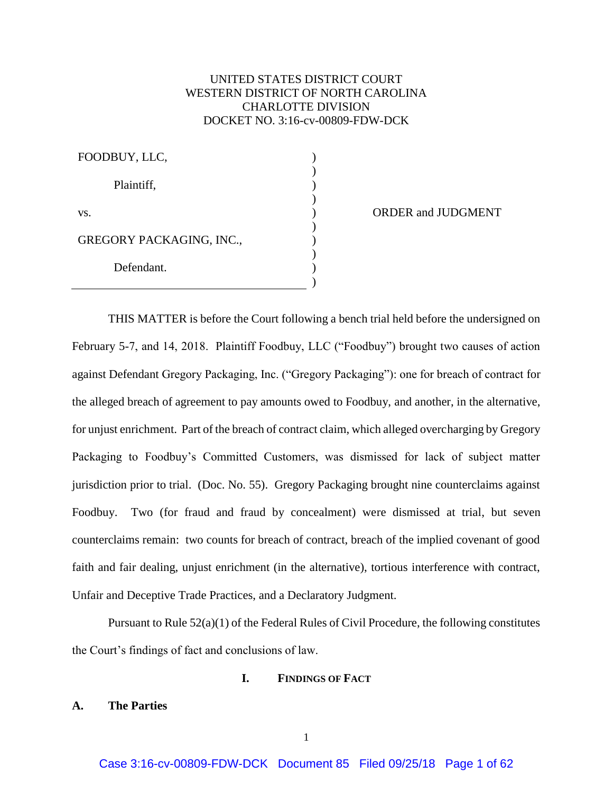# UNITED STATES DISTRICT COURT WESTERN DISTRICT OF NORTH CAROLINA CHARLOTTE DIVISION DOCKET NO. 3:16-cv-00809-FDW-DCK

) ) ) ) ) ) ) )

| FOODBUY, LLC,                   |  |
|---------------------------------|--|
| Plaintiff,                      |  |
| VS.                             |  |
| <b>GREGORY PACKAGING, INC.,</b> |  |
| Defendant.                      |  |

ORDER and JUDGMENT

THIS MATTER is before the Court following a bench trial held before the undersigned on February 5-7, and 14, 2018. Plaintiff Foodbuy, LLC ("Foodbuy") brought two causes of action against Defendant Gregory Packaging, Inc. ("Gregory Packaging"): one for breach of contract for the alleged breach of agreement to pay amounts owed to Foodbuy, and another, in the alternative, for unjust enrichment. Part of the breach of contract claim, which alleged overcharging by Gregory Packaging to Foodbuy's Committed Customers, was dismissed for lack of subject matter jurisdiction prior to trial. (Doc. No. 55). Gregory Packaging brought nine counterclaims against Foodbuy. Two (for fraud and fraud by concealment) were dismissed at trial, but seven counterclaims remain: two counts for breach of contract, breach of the implied covenant of good faith and fair dealing, unjust enrichment (in the alternative), tortious interference with contract, Unfair and Deceptive Trade Practices, and a Declaratory Judgment.

Pursuant to Rule 52(a)(1) of the Federal Rules of Civil Procedure, the following constitutes the Court's findings of fact and conclusions of law.

# **I. FINDINGS OF FACT**

# **A. The Parties**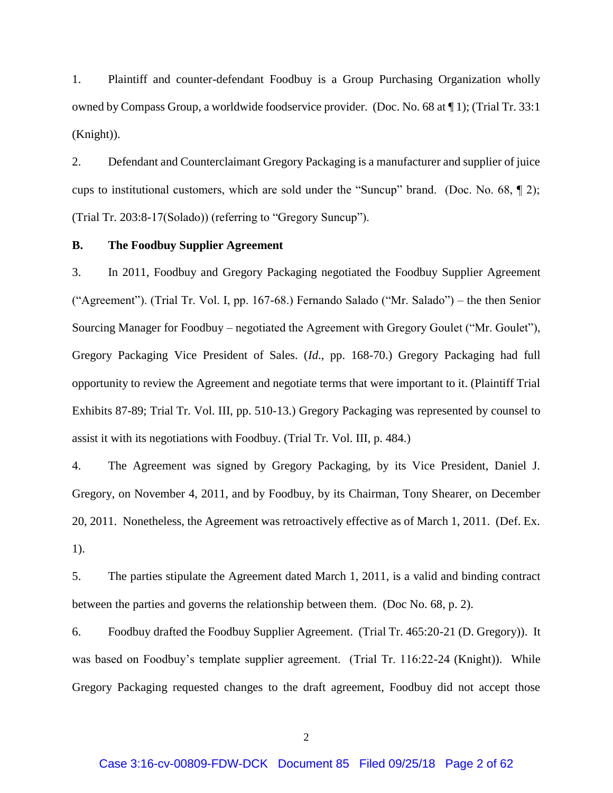1. Plaintiff and counter-defendant Foodbuy is a Group Purchasing Organization wholly owned by Compass Group, a worldwide foodservice provider. (Doc. No. 68 at ¶ 1); (Trial Tr. 33:1 (Knight)).

2. Defendant and Counterclaimant Gregory Packaging is a manufacturer and supplier of juice cups to institutional customers, which are sold under the "Suncup" brand. (Doc. No. 68, ¶ 2); (Trial Tr. 203:8-17(Solado)) (referring to "Gregory Suncup").

### **B. The Foodbuy Supplier Agreement**

3. In 2011, Foodbuy and Gregory Packaging negotiated the Foodbuy Supplier Agreement ("Agreement"). (Trial Tr. Vol. I, pp. 167-68.) Fernando Salado ("Mr. Salado") – the then Senior Sourcing Manager for Foodbuy – negotiated the Agreement with Gregory Goulet ("Mr. Goulet"), Gregory Packaging Vice President of Sales. (*Id*., pp. 168-70.) Gregory Packaging had full opportunity to review the Agreement and negotiate terms that were important to it. (Plaintiff Trial Exhibits 87-89; Trial Tr. Vol. III, pp. 510-13.) Gregory Packaging was represented by counsel to assist it with its negotiations with Foodbuy. (Trial Tr. Vol. III, p. 484.)

4. The Agreement was signed by Gregory Packaging, by its Vice President, Daniel J. Gregory, on November 4, 2011, and by Foodbuy, by its Chairman, Tony Shearer, on December 20, 2011. Nonetheless, the Agreement was retroactively effective as of March 1, 2011. (Def. Ex. 1).

5. The parties stipulate the Agreement dated March 1, 2011, is a valid and binding contract between the parties and governs the relationship between them. (Doc No. 68, p. 2).

6. Foodbuy drafted the Foodbuy Supplier Agreement. (Trial Tr. 465:20-21 (D. Gregory)). It was based on Foodbuy's template supplier agreement. (Trial Tr. 116:22-24 (Knight)). While Gregory Packaging requested changes to the draft agreement, Foodbuy did not accept those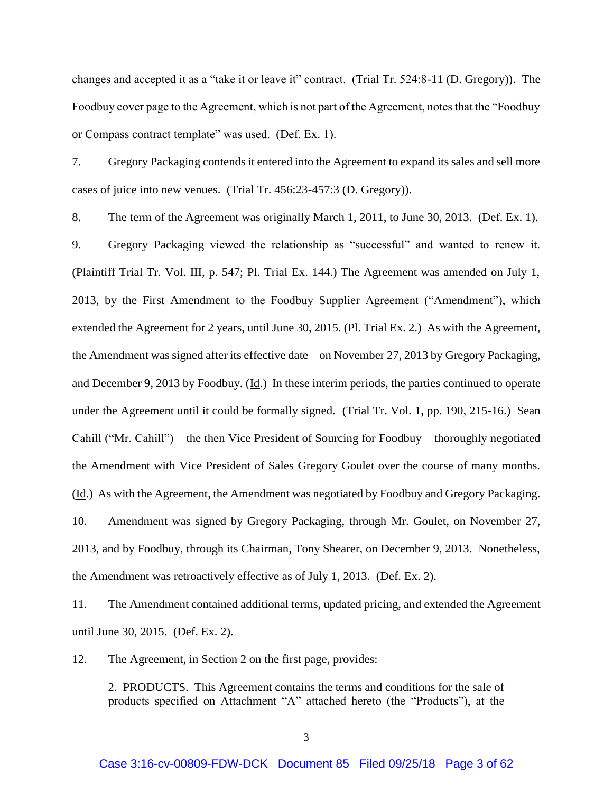changes and accepted it as a "take it or leave it" contract. (Trial Tr. 524:8-11 (D. Gregory)). The Foodbuy cover page to the Agreement, which is not part of the Agreement, notes that the "Foodbuy or Compass contract template" was used. (Def. Ex. 1).

7. Gregory Packaging contends it entered into the Agreement to expand its sales and sell more cases of juice into new venues. (Trial Tr. 456:23-457:3 (D. Gregory)).

8. The term of the Agreement was originally March 1, 2011, to June 30, 2013. (Def. Ex. 1). 9. Gregory Packaging viewed the relationship as "successful" and wanted to renew it. (Plaintiff Trial Tr. Vol. III, p. 547; Pl. Trial Ex. 144.) The Agreement was amended on July 1, 2013, by the First Amendment to the Foodbuy Supplier Agreement ("Amendment"), which extended the Agreement for 2 years, until June 30, 2015. (Pl. Trial Ex. 2.) As with the Agreement, the Amendment was signed after its effective date – on November 27, 2013 by Gregory Packaging, and December 9, 2013 by Foodbuy. (Id.) In these interim periods, the parties continued to operate under the Agreement until it could be formally signed. (Trial Tr. Vol. 1, pp. 190, 215-16.) Sean Cahill ("Mr. Cahill") – the then Vice President of Sourcing for Foodbuy – thoroughly negotiated the Amendment with Vice President of Sales Gregory Goulet over the course of many months. (Id.) As with the Agreement, the Amendment was negotiated by Foodbuy and Gregory Packaging. 10. Amendment was signed by Gregory Packaging, through Mr. Goulet, on November 27, 2013, and by Foodbuy, through its Chairman, Tony Shearer, on December 9, 2013. Nonetheless, the Amendment was retroactively effective as of July 1, 2013. (Def. Ex. 2).

11. The Amendment contained additional terms, updated pricing, and extended the Agreement until June 30, 2015. (Def. Ex. 2).

12. The Agreement, in Section 2 on the first page, provides:

2. PRODUCTS. This Agreement contains the terms and conditions for the sale of products specified on Attachment "A" attached hereto (the "Products"), at the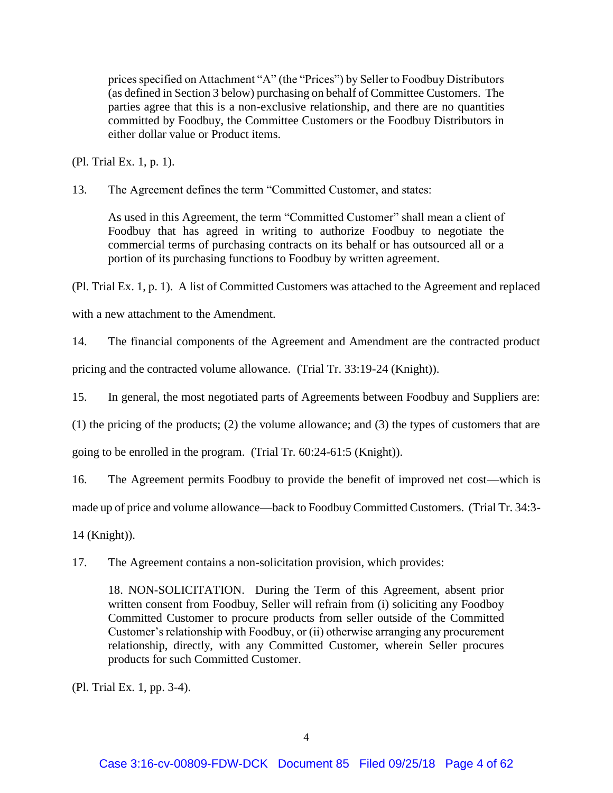prices specified on Attachment "A" (the "Prices") by Seller to Foodbuy Distributors (as defined in Section 3 below) purchasing on behalf of Committee Customers. The parties agree that this is a non-exclusive relationship, and there are no quantities committed by Foodbuy, the Committee Customers or the Foodbuy Distributors in either dollar value or Product items.

(Pl. Trial Ex. 1, p. 1).

13. The Agreement defines the term "Committed Customer, and states:

As used in this Agreement, the term "Committed Customer" shall mean a client of Foodbuy that has agreed in writing to authorize Foodbuy to negotiate the commercial terms of purchasing contracts on its behalf or has outsourced all or a portion of its purchasing functions to Foodbuy by written agreement.

(Pl. Trial Ex. 1, p. 1). A list of Committed Customers was attached to the Agreement and replaced

with a new attachment to the Amendment.

14. The financial components of the Agreement and Amendment are the contracted product

pricing and the contracted volume allowance. (Trial Tr. 33:19-24 (Knight)).

15. In general, the most negotiated parts of Agreements between Foodbuy and Suppliers are:

(1) the pricing of the products; (2) the volume allowance; and (3) the types of customers that are

going to be enrolled in the program. (Trial Tr. 60:24-61:5 (Knight)).

16. The Agreement permits Foodbuy to provide the benefit of improved net cost—which is

made up of price and volume allowance—back to Foodbuy Committed Customers. (Trial Tr. 34:3-

14 (Knight)).

17. The Agreement contains a non-solicitation provision, which provides:

18. NON-SOLICITATION. During the Term of this Agreement, absent prior written consent from Foodbuy, Seller will refrain from (i) soliciting any Foodboy Committed Customer to procure products from seller outside of the Committed Customer's relationship with Foodbuy, or (ii) otherwise arranging any procurement relationship, directly, with any Committed Customer, wherein Seller procures products for such Committed Customer.

(Pl. Trial Ex. 1, pp. 3-4).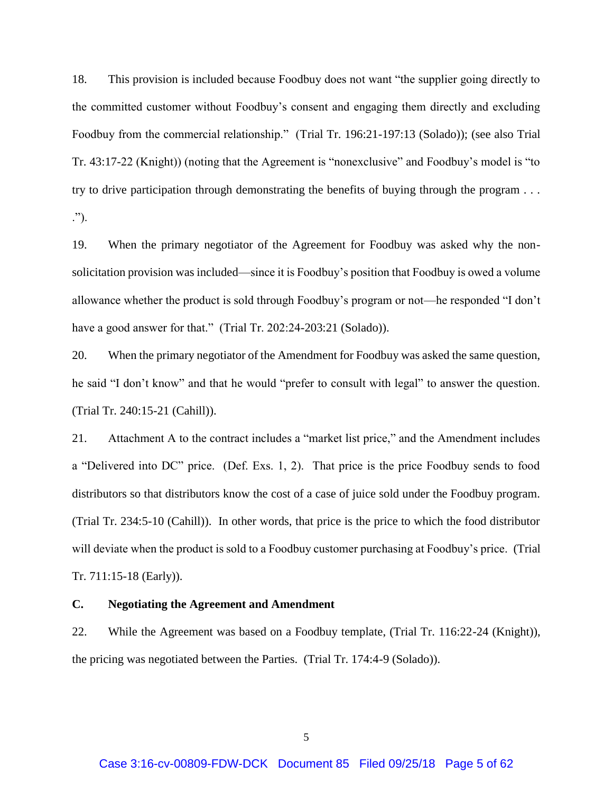18. This provision is included because Foodbuy does not want "the supplier going directly to the committed customer without Foodbuy's consent and engaging them directly and excluding Foodbuy from the commercial relationship." (Trial Tr. 196:21-197:13 (Solado)); (see also Trial Tr. 43:17-22 (Knight)) (noting that the Agreement is "nonexclusive" and Foodbuy's model is "to try to drive participation through demonstrating the benefits of buying through the program . . . .").

19. When the primary negotiator of the Agreement for Foodbuy was asked why the nonsolicitation provision was included—since it is Foodbuy's position that Foodbuy is owed a volume allowance whether the product is sold through Foodbuy's program or not—he responded "I don't have a good answer for that." (Trial Tr. 202:24-203:21 (Solado)).

20. When the primary negotiator of the Amendment for Foodbuy was asked the same question, he said "I don't know" and that he would "prefer to consult with legal" to answer the question. (Trial Tr. 240:15-21 (Cahill)).

21. Attachment A to the contract includes a "market list price," and the Amendment includes a "Delivered into DC" price. (Def. Exs. 1, 2). That price is the price Foodbuy sends to food distributors so that distributors know the cost of a case of juice sold under the Foodbuy program. (Trial Tr. 234:5-10 (Cahill)). In other words, that price is the price to which the food distributor will deviate when the product is sold to a Foodbuy customer purchasing at Foodbuy's price. (Trial Tr. 711:15-18 (Early)).

## **C. Negotiating the Agreement and Amendment**

22. While the Agreement was based on a Foodbuy template, (Trial Tr. 116:22-24 (Knight)), the pricing was negotiated between the Parties. (Trial Tr. 174:4-9 (Solado)).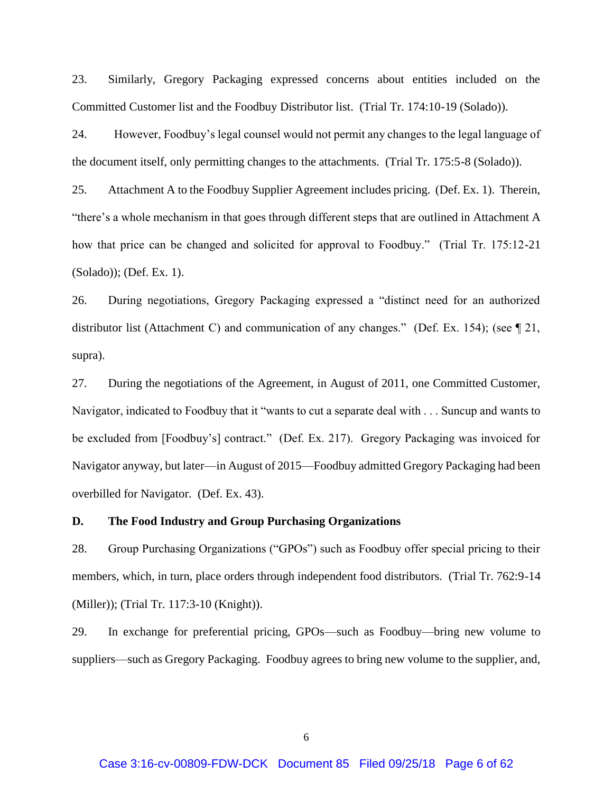23. Similarly, Gregory Packaging expressed concerns about entities included on the Committed Customer list and the Foodbuy Distributor list. (Trial Tr. 174:10-19 (Solado)).

24. However, Foodbuy's legal counsel would not permit any changes to the legal language of the document itself, only permitting changes to the attachments. (Trial Tr. 175:5-8 (Solado)).

25. Attachment A to the Foodbuy Supplier Agreement includes pricing. (Def. Ex. 1). Therein, "there's a whole mechanism in that goes through different steps that are outlined in Attachment A how that price can be changed and solicited for approval to Foodbuy." (Trial Tr. 175:12-21 (Solado)); (Def. Ex. 1).

26. During negotiations, Gregory Packaging expressed a "distinct need for an authorized distributor list (Attachment C) and communication of any changes." (Def. Ex. 154); (see ¶ 21, supra).

27. During the negotiations of the Agreement, in August of 2011, one Committed Customer, Navigator, indicated to Foodbuy that it "wants to cut a separate deal with . . . Suncup and wants to be excluded from [Foodbuy's] contract." (Def. Ex. 217). Gregory Packaging was invoiced for Navigator anyway, but later—in August of 2015—Foodbuy admitted Gregory Packaging had been overbilled for Navigator. (Def. Ex. 43).

## **D. The Food Industry and Group Purchasing Organizations**

28. Group Purchasing Organizations ("GPOs") such as Foodbuy offer special pricing to their members, which, in turn, place orders through independent food distributors. (Trial Tr. 762:9-14 (Miller)); (Trial Tr. 117:3-10 (Knight)).

29. In exchange for preferential pricing, GPOs—such as Foodbuy—bring new volume to suppliers—such as Gregory Packaging. Foodbuy agrees to bring new volume to the supplier, and,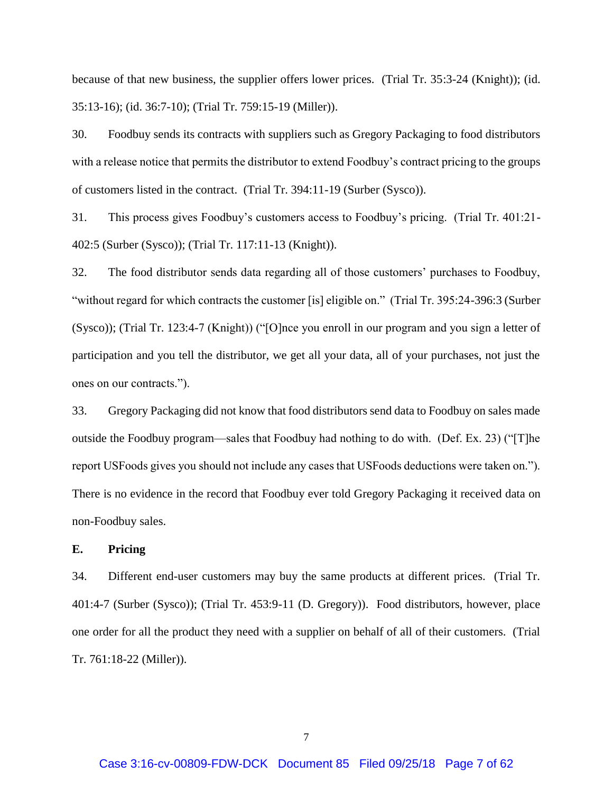because of that new business, the supplier offers lower prices. (Trial Tr. 35:3-24 (Knight)); (id. 35:13-16); (id. 36:7-10); (Trial Tr. 759:15-19 (Miller)).

30. Foodbuy sends its contracts with suppliers such as Gregory Packaging to food distributors with a release notice that permits the distributor to extend Foodbuy's contract pricing to the groups of customers listed in the contract. (Trial Tr. 394:11-19 (Surber (Sysco)).

31. This process gives Foodbuy's customers access to Foodbuy's pricing. (Trial Tr. 401:21- 402:5 (Surber (Sysco)); (Trial Tr. 117:11-13 (Knight)).

32. The food distributor sends data regarding all of those customers' purchases to Foodbuy, "without regard for which contracts the customer [is] eligible on." (Trial Tr. 395:24-396:3 (Surber (Sysco)); (Trial Tr. 123:4-7 (Knight)) ("[O]nce you enroll in our program and you sign a letter of participation and you tell the distributor, we get all your data, all of your purchases, not just the ones on our contracts.").

33. Gregory Packaging did not know that food distributors send data to Foodbuy on sales made outside the Foodbuy program—sales that Foodbuy had nothing to do with. (Def. Ex. 23) ("[T]he report USFoods gives you should not include any cases that USFoods deductions were taken on."). There is no evidence in the record that Foodbuy ever told Gregory Packaging it received data on non-Foodbuy sales.

## **E. Pricing**

34. Different end-user customers may buy the same products at different prices. (Trial Tr. 401:4-7 (Surber (Sysco)); (Trial Tr. 453:9-11 (D. Gregory)). Food distributors, however, place one order for all the product they need with a supplier on behalf of all of their customers. (Trial Tr. 761:18-22 (Miller)).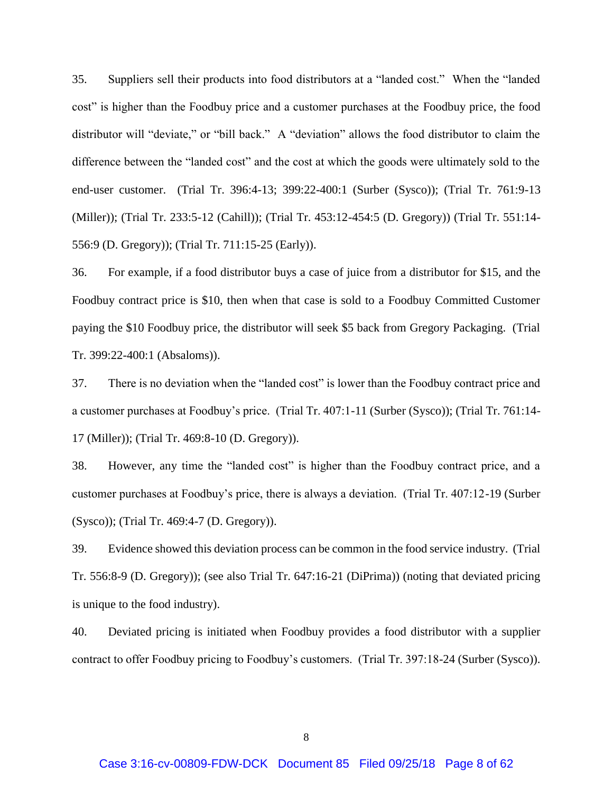35. Suppliers sell their products into food distributors at a "landed cost." When the "landed cost" is higher than the Foodbuy price and a customer purchases at the Foodbuy price, the food distributor will "deviate," or "bill back." A "deviation" allows the food distributor to claim the difference between the "landed cost" and the cost at which the goods were ultimately sold to the end-user customer. (Trial Tr. 396:4-13; 399:22-400:1 (Surber (Sysco)); (Trial Tr. 761:9-13 (Miller)); (Trial Tr. 233:5-12 (Cahill)); (Trial Tr. 453:12-454:5 (D. Gregory)) (Trial Tr. 551:14- 556:9 (D. Gregory)); (Trial Tr. 711:15-25 (Early)).

36. For example, if a food distributor buys a case of juice from a distributor for \$15, and the Foodbuy contract price is \$10, then when that case is sold to a Foodbuy Committed Customer paying the \$10 Foodbuy price, the distributor will seek \$5 back from Gregory Packaging. (Trial Tr. 399:22-400:1 (Absaloms)).

37. There is no deviation when the "landed cost" is lower than the Foodbuy contract price and a customer purchases at Foodbuy's price. (Trial Tr. 407:1-11 (Surber (Sysco)); (Trial Tr. 761:14- 17 (Miller)); (Trial Tr. 469:8-10 (D. Gregory)).

38. However, any time the "landed cost" is higher than the Foodbuy contract price, and a customer purchases at Foodbuy's price, there is always a deviation. (Trial Tr. 407:12-19 (Surber (Sysco)); (Trial Tr. 469:4-7 (D. Gregory)).

39. Evidence showed this deviation process can be common in the food service industry. (Trial Tr. 556:8-9 (D. Gregory)); (see also Trial Tr. 647:16-21 (DiPrima)) (noting that deviated pricing is unique to the food industry).

40. Deviated pricing is initiated when Foodbuy provides a food distributor with a supplier contract to offer Foodbuy pricing to Foodbuy's customers. (Trial Tr. 397:18-24 (Surber (Sysco)).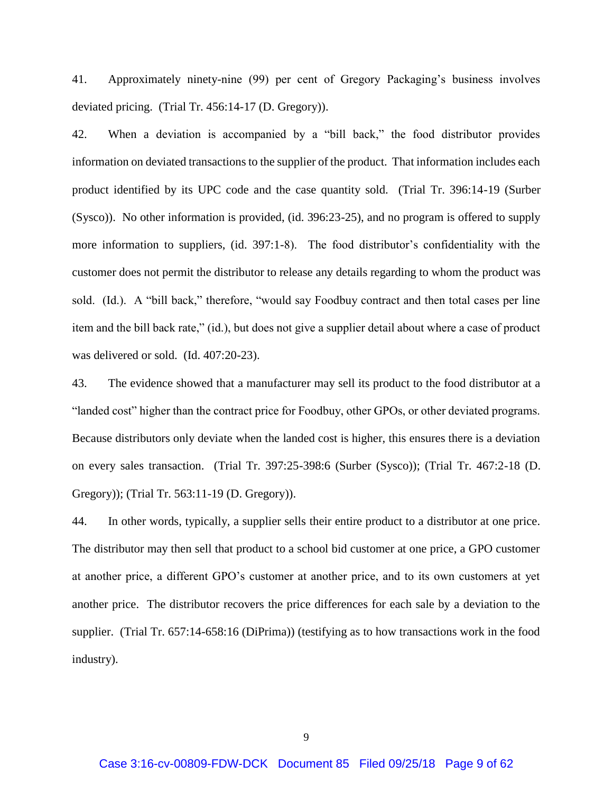41. Approximately ninety-nine (99) per cent of Gregory Packaging's business involves deviated pricing. (Trial Tr. 456:14-17 (D. Gregory)).

42. When a deviation is accompanied by a "bill back," the food distributor provides information on deviated transactions to the supplier of the product. That information includes each product identified by its UPC code and the case quantity sold. (Trial Tr. 396:14-19 (Surber (Sysco)). No other information is provided, (id. 396:23-25), and no program is offered to supply more information to suppliers, (id. 397:1-8). The food distributor's confidentiality with the customer does not permit the distributor to release any details regarding to whom the product was sold. (Id.). A "bill back," therefore, "would say Foodbuy contract and then total cases per line item and the bill back rate," (id.), but does not give a supplier detail about where a case of product was delivered or sold. (Id. 407:20-23).

43. The evidence showed that a manufacturer may sell its product to the food distributor at a "landed cost" higher than the contract price for Foodbuy, other GPOs, or other deviated programs. Because distributors only deviate when the landed cost is higher, this ensures there is a deviation on every sales transaction. (Trial Tr. 397:25-398:6 (Surber (Sysco)); (Trial Tr. 467:2-18 (D. Gregory)); (Trial Tr. 563:11-19 (D. Gregory)).

44. In other words, typically, a supplier sells their entire product to a distributor at one price. The distributor may then sell that product to a school bid customer at one price, a GPO customer at another price, a different GPO's customer at another price, and to its own customers at yet another price. The distributor recovers the price differences for each sale by a deviation to the supplier. (Trial Tr. 657:14-658:16 (DiPrima)) (testifying as to how transactions work in the food industry).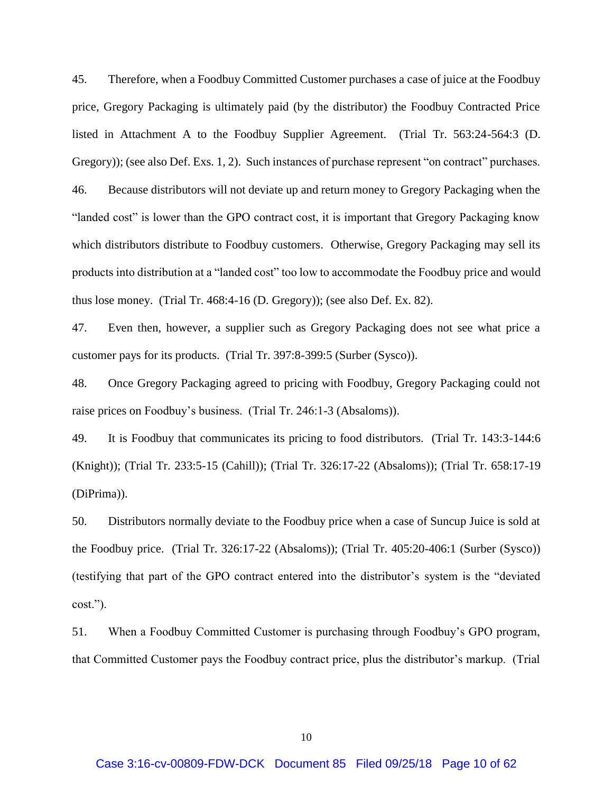45. Therefore, when a Foodbuy Committed Customer purchases a case of juice at the Foodbuy price, Gregory Packaging is ultimately paid (by the distributor) the Foodbuy Contracted Price listed in Attachment A to the Foodbuy Supplier Agreement. (Trial Tr. 563:24-564:3 (D. Gregory)); (see also Def. Exs. 1, 2). Such instances of purchase represent "on contract" purchases. 46. Because distributors will not deviate up and return money to Gregory Packaging when the "landed cost" is lower than the GPO contract cost, it is important that Gregory Packaging know which distributors distribute to Foodbuy customers. Otherwise, Gregory Packaging may sell its products into distribution at a "landed cost" too low to accommodate the Foodbuy price and would thus lose money. (Trial Tr. 468:4-16 (D. Gregory)); (see also Def. Ex. 82).

47. Even then, however, a supplier such as Gregory Packaging does not see what price a customer pays for its products. (Trial Tr. 397:8-399:5 (Surber (Sysco)).

48. Once Gregory Packaging agreed to pricing with Foodbuy, Gregory Packaging could not raise prices on Foodbuy's business. (Trial Tr. 246:1-3 (Absaloms)).

49. It is Foodbuy that communicates its pricing to food distributors. (Trial Tr. 143:3-144:6 (Knight)); (Trial Tr. 233:5-15 (Cahill)); (Trial Tr. 326:17-22 (Absaloms)); (Trial Tr. 658:17-19 (DiPrima)).

50. Distributors normally deviate to the Foodbuy price when a case of Suncup Juice is sold at the Foodbuy price. (Trial Tr. 326:17-22 (Absaloms)); (Trial Tr. 405:20-406:1 (Surber (Sysco)) (testifying that part of the GPO contract entered into the distributor's system is the "deviated cost.").

51. When a Foodbuy Committed Customer is purchasing through Foodbuy's GPO program, that Committed Customer pays the Foodbuy contract price, plus the distributor's markup. (Trial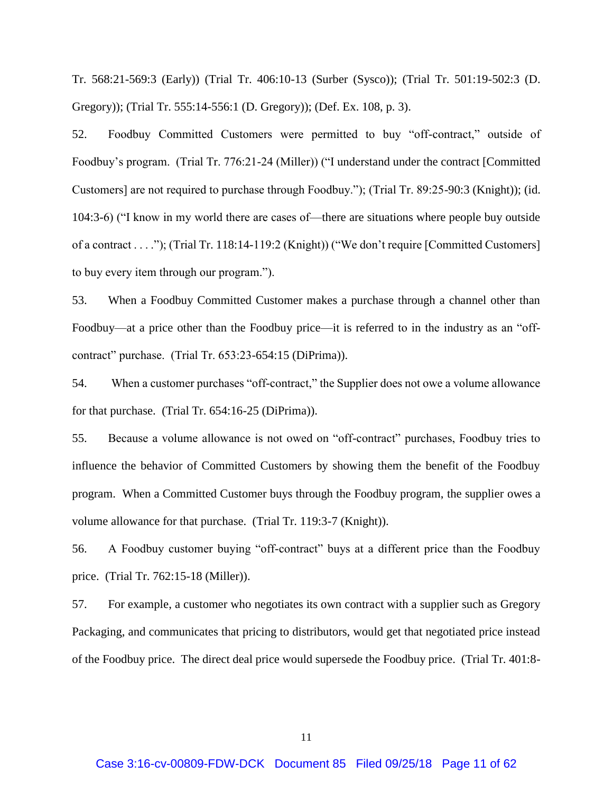Tr. 568:21-569:3 (Early)) (Trial Tr. 406:10-13 (Surber (Sysco)); (Trial Tr. 501:19-502:3 (D. Gregory)); (Trial Tr. 555:14-556:1 (D. Gregory)); (Def. Ex. 108, p. 3).

52. Foodbuy Committed Customers were permitted to buy "off-contract," outside of Foodbuy's program. (Trial Tr. 776:21-24 (Miller)) ("I understand under the contract [Committed Customers] are not required to purchase through Foodbuy."); (Trial Tr. 89:25-90:3 (Knight)); (id. 104:3-6) ("I know in my world there are cases of—there are situations where people buy outside of a contract . . . ."); (Trial Tr. 118:14-119:2 (Knight)) ("We don't require [Committed Customers] to buy every item through our program.").

53. When a Foodbuy Committed Customer makes a purchase through a channel other than Foodbuy—at a price other than the Foodbuy price—it is referred to in the industry as an "offcontract" purchase. (Trial Tr. 653:23-654:15 (DiPrima)).

54. When a customer purchases "off-contract," the Supplier does not owe a volume allowance for that purchase. (Trial Tr. 654:16-25 (DiPrima)).

55. Because a volume allowance is not owed on "off-contract" purchases, Foodbuy tries to influence the behavior of Committed Customers by showing them the benefit of the Foodbuy program. When a Committed Customer buys through the Foodbuy program, the supplier owes a volume allowance for that purchase. (Trial Tr. 119:3-7 (Knight)).

56. A Foodbuy customer buying "off-contract" buys at a different price than the Foodbuy price. (Trial Tr. 762:15-18 (Miller)).

57. For example, a customer who negotiates its own contract with a supplier such as Gregory Packaging, and communicates that pricing to distributors, would get that negotiated price instead of the Foodbuy price. The direct deal price would supersede the Foodbuy price. (Trial Tr. 401:8-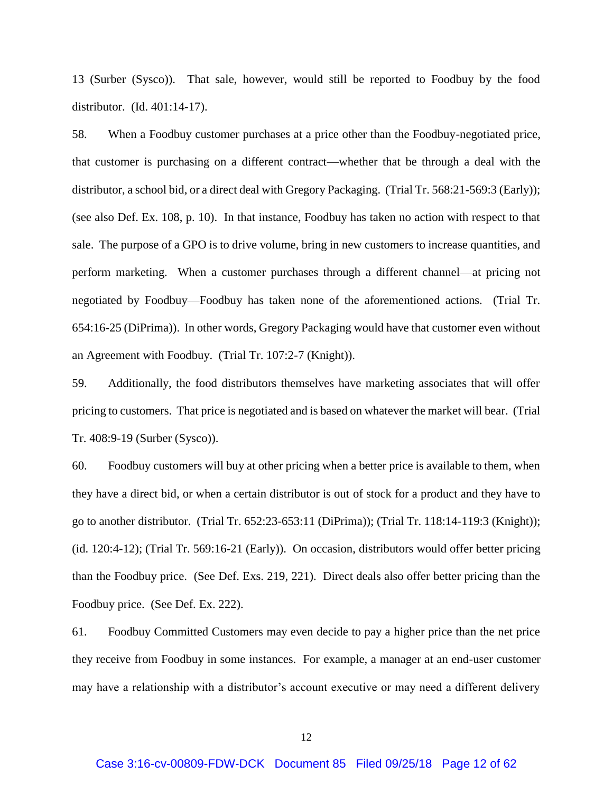13 (Surber (Sysco)). That sale, however, would still be reported to Foodbuy by the food distributor. (Id. 401:14-17).

58. When a Foodbuy customer purchases at a price other than the Foodbuy-negotiated price, that customer is purchasing on a different contract—whether that be through a deal with the distributor, a school bid, or a direct deal with Gregory Packaging. (Trial Tr. 568:21-569:3 (Early)); (see also Def. Ex. 108, p. 10). In that instance, Foodbuy has taken no action with respect to that sale. The purpose of a GPO is to drive volume, bring in new customers to increase quantities, and perform marketing. When a customer purchases through a different channel—at pricing not negotiated by Foodbuy—Foodbuy has taken none of the aforementioned actions. (Trial Tr. 654:16-25 (DiPrima)). In other words, Gregory Packaging would have that customer even without an Agreement with Foodbuy. (Trial Tr. 107:2-7 (Knight)).

59. Additionally, the food distributors themselves have marketing associates that will offer pricing to customers. That price is negotiated and is based on whatever the market will bear. (Trial Tr. 408:9-19 (Surber (Sysco)).

60. Foodbuy customers will buy at other pricing when a better price is available to them, when they have a direct bid, or when a certain distributor is out of stock for a product and they have to go to another distributor. (Trial Tr. 652:23-653:11 (DiPrima)); (Trial Tr. 118:14-119:3 (Knight)); (id. 120:4-12); (Trial Tr. 569:16-21 (Early)). On occasion, distributors would offer better pricing than the Foodbuy price. (See Def. Exs. 219, 221). Direct deals also offer better pricing than the Foodbuy price. (See Def. Ex. 222).

61. Foodbuy Committed Customers may even decide to pay a higher price than the net price they receive from Foodbuy in some instances. For example, a manager at an end-user customer may have a relationship with a distributor's account executive or may need a different delivery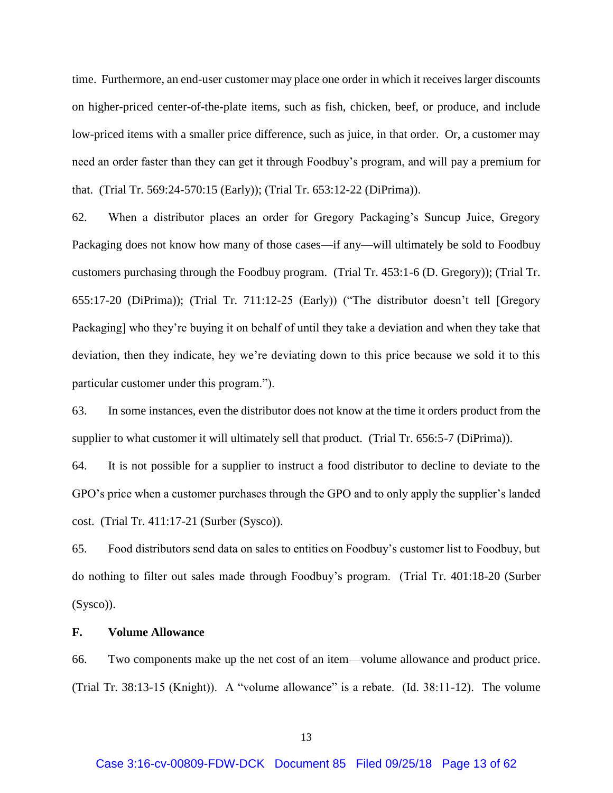time. Furthermore, an end-user customer may place one order in which it receives larger discounts on higher-priced center-of-the-plate items, such as fish, chicken, beef, or produce, and include low-priced items with a smaller price difference, such as juice, in that order. Or, a customer may need an order faster than they can get it through Foodbuy's program, and will pay a premium for that. (Trial Tr. 569:24-570:15 (Early)); (Trial Tr. 653:12-22 (DiPrima)).

62. When a distributor places an order for Gregory Packaging's Suncup Juice, Gregory Packaging does not know how many of those cases—if any—will ultimately be sold to Foodbuy customers purchasing through the Foodbuy program. (Trial Tr. 453:1-6 (D. Gregory)); (Trial Tr. 655:17-20 (DiPrima)); (Trial Tr. 711:12-25 (Early)) ("The distributor doesn't tell [Gregory Packaging] who they're buying it on behalf of until they take a deviation and when they take that deviation, then they indicate, hey we're deviating down to this price because we sold it to this particular customer under this program.").

63. In some instances, even the distributor does not know at the time it orders product from the supplier to what customer it will ultimately sell that product. (Trial Tr. 656:5-7 (DiPrima)).

64. It is not possible for a supplier to instruct a food distributor to decline to deviate to the GPO's price when a customer purchases through the GPO and to only apply the supplier's landed cost. (Trial Tr. 411:17-21 (Surber (Sysco)).

65. Food distributors send data on sales to entities on Foodbuy's customer list to Foodbuy, but do nothing to filter out sales made through Foodbuy's program. (Trial Tr. 401:18-20 (Surber (Sysco)).

## **F. Volume Allowance**

66. Two components make up the net cost of an item—volume allowance and product price. (Trial Tr. 38:13-15 (Knight)). A "volume allowance" is a rebate. (Id. 38:11-12). The volume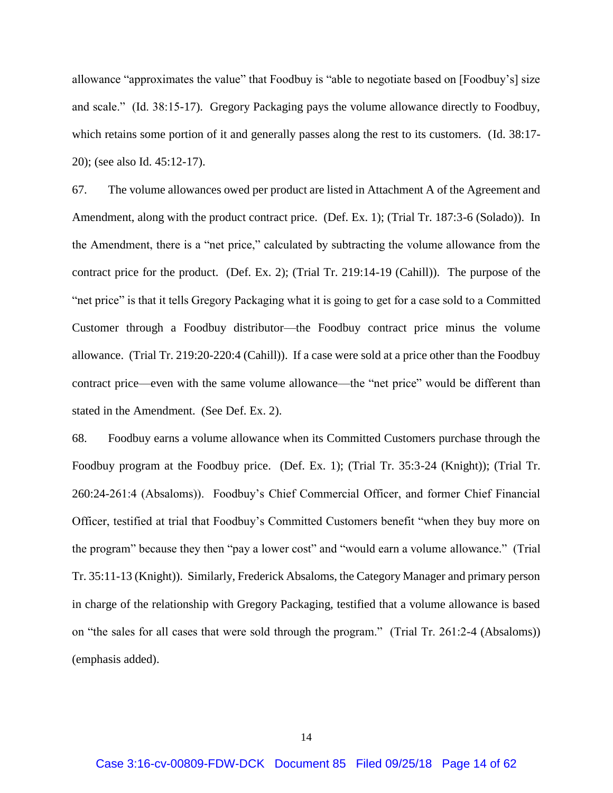allowance "approximates the value" that Foodbuy is "able to negotiate based on [Foodbuy's] size and scale." (Id. 38:15-17). Gregory Packaging pays the volume allowance directly to Foodbuy, which retains some portion of it and generally passes along the rest to its customers. (Id. 38:17-20); (see also Id. 45:12-17).

67. The volume allowances owed per product are listed in Attachment A of the Agreement and Amendment, along with the product contract price. (Def. Ex. 1); (Trial Tr. 187:3-6 (Solado)). In the Amendment, there is a "net price," calculated by subtracting the volume allowance from the contract price for the product. (Def. Ex. 2); (Trial Tr. 219:14-19 (Cahill)). The purpose of the "net price" is that it tells Gregory Packaging what it is going to get for a case sold to a Committed Customer through a Foodbuy distributor—the Foodbuy contract price minus the volume allowance. (Trial Tr. 219:20-220:4 (Cahill)). If a case were sold at a price other than the Foodbuy contract price—even with the same volume allowance—the "net price" would be different than stated in the Amendment. (See Def. Ex. 2).

68. Foodbuy earns a volume allowance when its Committed Customers purchase through the Foodbuy program at the Foodbuy price. (Def. Ex. 1); (Trial Tr. 35:3-24 (Knight)); (Trial Tr. 260:24-261:4 (Absaloms)). Foodbuy's Chief Commercial Officer, and former Chief Financial Officer, testified at trial that Foodbuy's Committed Customers benefit "when they buy more on the program" because they then "pay a lower cost" and "would earn a volume allowance." (Trial Tr. 35:11-13 (Knight)). Similarly, Frederick Absaloms, the Category Manager and primary person in charge of the relationship with Gregory Packaging, testified that a volume allowance is based on "the sales for all cases that were sold through the program." (Trial Tr. 261:2-4 (Absaloms)) (emphasis added).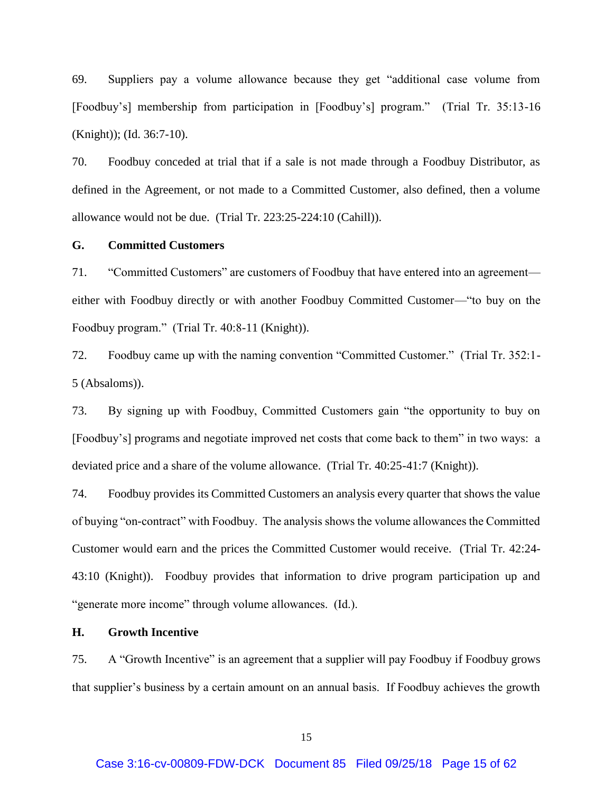69. Suppliers pay a volume allowance because they get "additional case volume from [Foodbuy's] membership from participation in [Foodbuy's] program." (Trial Tr. 35:13-16 (Knight)); (Id. 36:7-10).

70. Foodbuy conceded at trial that if a sale is not made through a Foodbuy Distributor, as defined in the Agreement, or not made to a Committed Customer, also defined, then a volume allowance would not be due. (Trial Tr. 223:25-224:10 (Cahill)).

## **G. Committed Customers**

71. "Committed Customers" are customers of Foodbuy that have entered into an agreement either with Foodbuy directly or with another Foodbuy Committed Customer—"to buy on the Foodbuy program." (Trial Tr. 40:8-11 (Knight)).

72. Foodbuy came up with the naming convention "Committed Customer." (Trial Tr. 352:1- 5 (Absaloms)).

73. By signing up with Foodbuy, Committed Customers gain "the opportunity to buy on [Foodbuy's] programs and negotiate improved net costs that come back to them" in two ways: a deviated price and a share of the volume allowance. (Trial Tr. 40:25-41:7 (Knight)).

74. Foodbuy provides its Committed Customers an analysis every quarter that shows the value of buying "on-contract" with Foodbuy. The analysis shows the volume allowances the Committed Customer would earn and the prices the Committed Customer would receive. (Trial Tr. 42:24- 43:10 (Knight)). Foodbuy provides that information to drive program participation up and "generate more income" through volume allowances. (Id.).

## **H. Growth Incentive**

75. A "Growth Incentive" is an agreement that a supplier will pay Foodbuy if Foodbuy grows that supplier's business by a certain amount on an annual basis. If Foodbuy achieves the growth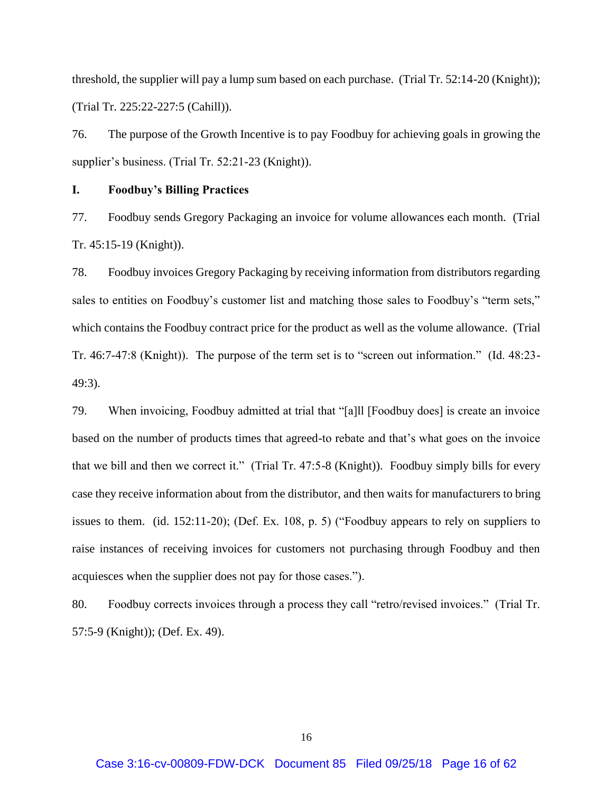threshold, the supplier will pay a lump sum based on each purchase. (Trial Tr. 52:14-20 (Knight)); (Trial Tr. 225:22-227:5 (Cahill)).

76. The purpose of the Growth Incentive is to pay Foodbuy for achieving goals in growing the supplier's business. (Trial Tr. 52:21-23 (Knight)).

## **I. Foodbuy's Billing Practices**

77. Foodbuy sends Gregory Packaging an invoice for volume allowances each month. (Trial Tr. 45:15-19 (Knight)).

78. Foodbuy invoices Gregory Packaging by receiving information from distributors regarding sales to entities on Foodbuy's customer list and matching those sales to Foodbuy's "term sets," which contains the Foodbuy contract price for the product as well as the volume allowance. (Trial Tr. 46:7-47:8 (Knight)). The purpose of the term set is to "screen out information." (Id. 48:23- 49:3).

79. When invoicing, Foodbuy admitted at trial that "[a]ll [Foodbuy does] is create an invoice based on the number of products times that agreed-to rebate and that's what goes on the invoice that we bill and then we correct it." (Trial Tr. 47:5-8 (Knight)). Foodbuy simply bills for every case they receive information about from the distributor, and then waits for manufacturers to bring issues to them. (id. 152:11-20); (Def. Ex. 108, p. 5) ("Foodbuy appears to rely on suppliers to raise instances of receiving invoices for customers not purchasing through Foodbuy and then acquiesces when the supplier does not pay for those cases.").

80. Foodbuy corrects invoices through a process they call "retro/revised invoices." (Trial Tr. 57:5-9 (Knight)); (Def. Ex. 49).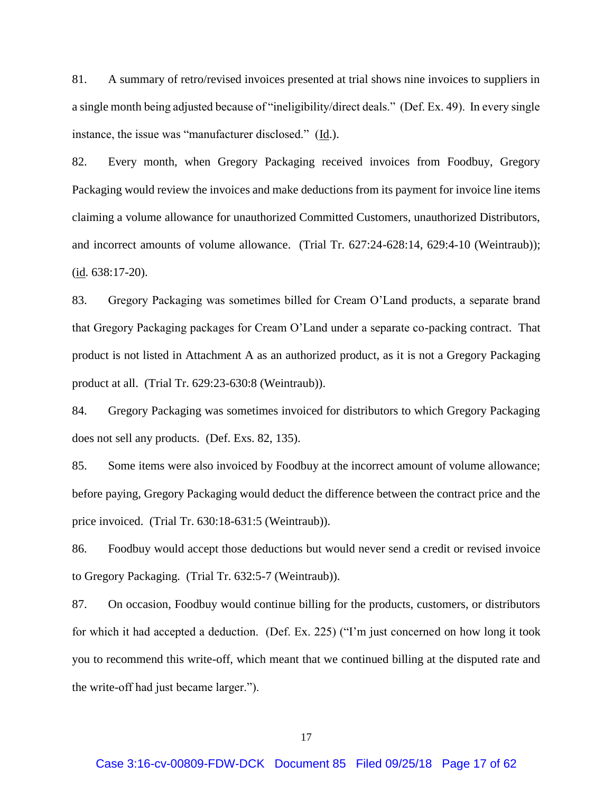81. A summary of retro/revised invoices presented at trial shows nine invoices to suppliers in a single month being adjusted because of "ineligibility/direct deals." (Def. Ex. 49). In every single instance, the issue was "manufacturer disclosed." (Id.).

82. Every month, when Gregory Packaging received invoices from Foodbuy, Gregory Packaging would review the invoices and make deductions from its payment for invoice line items claiming a volume allowance for unauthorized Committed Customers, unauthorized Distributors, and incorrect amounts of volume allowance. (Trial Tr. 627:24-628:14, 629:4-10 (Weintraub));  $(id. 638:17-20)$ .

83. Gregory Packaging was sometimes billed for Cream O'Land products, a separate brand that Gregory Packaging packages for Cream O'Land under a separate co-packing contract. That product is not listed in Attachment A as an authorized product, as it is not a Gregory Packaging product at all. (Trial Tr. 629:23-630:8 (Weintraub)).

84. Gregory Packaging was sometimes invoiced for distributors to which Gregory Packaging does not sell any products. (Def. Exs. 82, 135).

85. Some items were also invoiced by Foodbuy at the incorrect amount of volume allowance; before paying, Gregory Packaging would deduct the difference between the contract price and the price invoiced. (Trial Tr. 630:18-631:5 (Weintraub)).

86. Foodbuy would accept those deductions but would never send a credit or revised invoice to Gregory Packaging. (Trial Tr. 632:5-7 (Weintraub)).

87. On occasion, Foodbuy would continue billing for the products, customers, or distributors for which it had accepted a deduction. (Def. Ex. 225) ("I'm just concerned on how long it took you to recommend this write-off, which meant that we continued billing at the disputed rate and the write-off had just became larger.").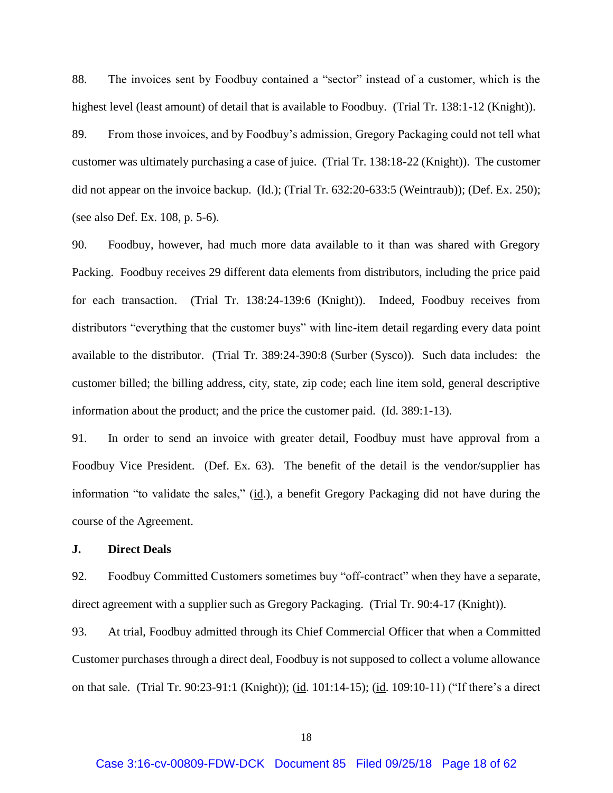88. The invoices sent by Foodbuy contained a "sector" instead of a customer, which is the highest level (least amount) of detail that is available to Foodbuy. (Trial Tr. 138:1-12 (Knight)).

89. From those invoices, and by Foodbuy's admission, Gregory Packaging could not tell what customer was ultimately purchasing a case of juice. (Trial Tr. 138:18-22 (Knight)). The customer did not appear on the invoice backup. (Id.); (Trial Tr. 632:20-633:5 (Weintraub)); (Def. Ex. 250); (see also Def. Ex. 108, p. 5-6).

90. Foodbuy, however, had much more data available to it than was shared with Gregory Packing. Foodbuy receives 29 different data elements from distributors, including the price paid for each transaction. (Trial Tr. 138:24-139:6 (Knight)). Indeed, Foodbuy receives from distributors "everything that the customer buys" with line-item detail regarding every data point available to the distributor. (Trial Tr. 389:24-390:8 (Surber (Sysco)). Such data includes: the customer billed; the billing address, city, state, zip code; each line item sold, general descriptive information about the product; and the price the customer paid. (Id. 389:1-13).

91. In order to send an invoice with greater detail, Foodbuy must have approval from a Foodbuy Vice President. (Def. Ex. 63). The benefit of the detail is the vendor/supplier has information "to validate the sales," (id.), a benefit Gregory Packaging did not have during the course of the Agreement.

## **J. Direct Deals**

92. Foodbuy Committed Customers sometimes buy "off-contract" when they have a separate, direct agreement with a supplier such as Gregory Packaging. (Trial Tr. 90:4-17 (Knight)).

93. At trial, Foodbuy admitted through its Chief Commercial Officer that when a Committed Customer purchases through a direct deal, Foodbuy is not supposed to collect a volume allowance on that sale. (Trial Tr. 90:23-91:1 (Knight)); (id. 101:14-15); (id. 109:10-11) ("If there's a direct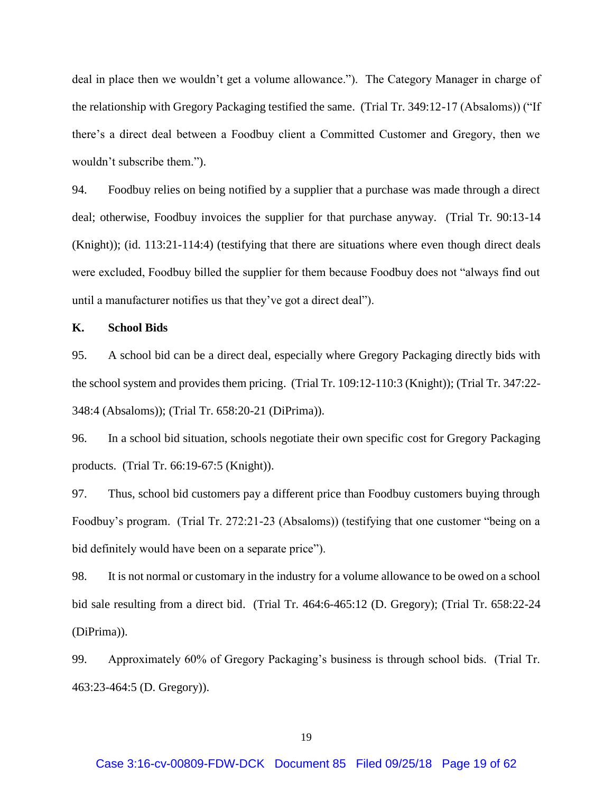deal in place then we wouldn't get a volume allowance."). The Category Manager in charge of the relationship with Gregory Packaging testified the same. (Trial Tr. 349:12-17 (Absaloms)) ("If there's a direct deal between a Foodbuy client a Committed Customer and Gregory, then we wouldn't subscribe them.").

94. Foodbuy relies on being notified by a supplier that a purchase was made through a direct deal; otherwise, Foodbuy invoices the supplier for that purchase anyway. (Trial Tr. 90:13-14 (Knight)); (id. 113:21-114:4) (testifying that there are situations where even though direct deals were excluded, Foodbuy billed the supplier for them because Foodbuy does not "always find out until a manufacturer notifies us that they've got a direct deal").

## **K. School Bids**

95. A school bid can be a direct deal, especially where Gregory Packaging directly bids with the school system and provides them pricing. (Trial Tr. 109:12-110:3 (Knight)); (Trial Tr. 347:22- 348:4 (Absaloms)); (Trial Tr. 658:20-21 (DiPrima)).

96. In a school bid situation, schools negotiate their own specific cost for Gregory Packaging products. (Trial Tr. 66:19-67:5 (Knight)).

97. Thus, school bid customers pay a different price than Foodbuy customers buying through Foodbuy's program. (Trial Tr. 272:21-23 (Absaloms)) (testifying that one customer "being on a bid definitely would have been on a separate price").

98. It is not normal or customary in the industry for a volume allowance to be owed on a school bid sale resulting from a direct bid. (Trial Tr. 464:6-465:12 (D. Gregory); (Trial Tr. 658:22-24 (DiPrima)).

99. Approximately 60% of Gregory Packaging's business is through school bids. (Trial Tr. 463:23-464:5 (D. Gregory)).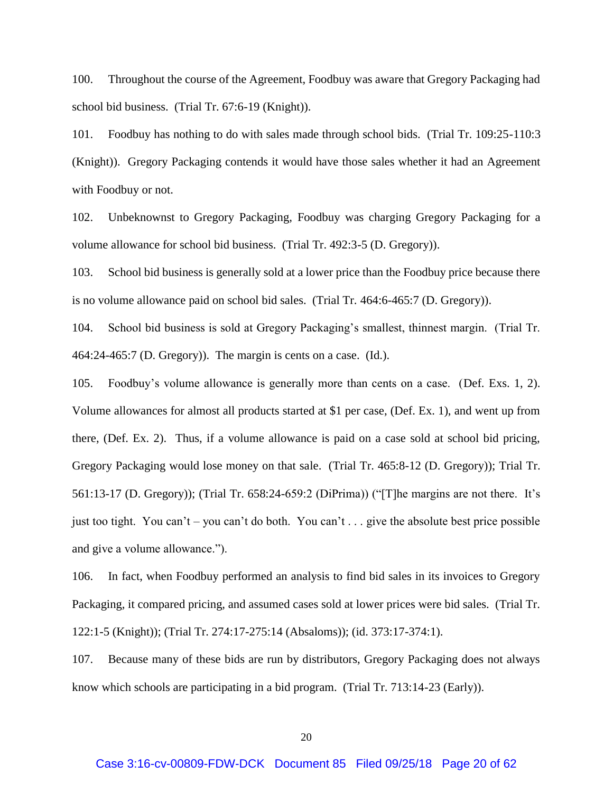100. Throughout the course of the Agreement, Foodbuy was aware that Gregory Packaging had school bid business. (Trial Tr. 67:6-19 (Knight)).

101. Foodbuy has nothing to do with sales made through school bids. (Trial Tr. 109:25-110:3 (Knight)). Gregory Packaging contends it would have those sales whether it had an Agreement with Foodbuy or not.

102. Unbeknownst to Gregory Packaging, Foodbuy was charging Gregory Packaging for a volume allowance for school bid business. (Trial Tr. 492:3-5 (D. Gregory)).

103. School bid business is generally sold at a lower price than the Foodbuy price because there is no volume allowance paid on school bid sales. (Trial Tr. 464:6-465:7 (D. Gregory)).

104. School bid business is sold at Gregory Packaging's smallest, thinnest margin. (Trial Tr. 464:24-465:7 (D. Gregory)). The margin is cents on a case. (Id.).

105. Foodbuy's volume allowance is generally more than cents on a case. (Def. Exs. 1, 2). Volume allowances for almost all products started at \$1 per case, (Def. Ex. 1), and went up from there, (Def. Ex. 2). Thus, if a volume allowance is paid on a case sold at school bid pricing, Gregory Packaging would lose money on that sale. (Trial Tr. 465:8-12 (D. Gregory)); Trial Tr. 561:13-17 (D. Gregory)); (Trial Tr. 658:24-659:2 (DiPrima)) ("[T]he margins are not there. It's just too tight. You can't – you can't do both. You can't . . . give the absolute best price possible and give a volume allowance.").

106. In fact, when Foodbuy performed an analysis to find bid sales in its invoices to Gregory Packaging, it compared pricing, and assumed cases sold at lower prices were bid sales. (Trial Tr. 122:1-5 (Knight)); (Trial Tr. 274:17-275:14 (Absaloms)); (id. 373:17-374:1).

107. Because many of these bids are run by distributors, Gregory Packaging does not always know which schools are participating in a bid program. (Trial Tr. 713:14-23 (Early)).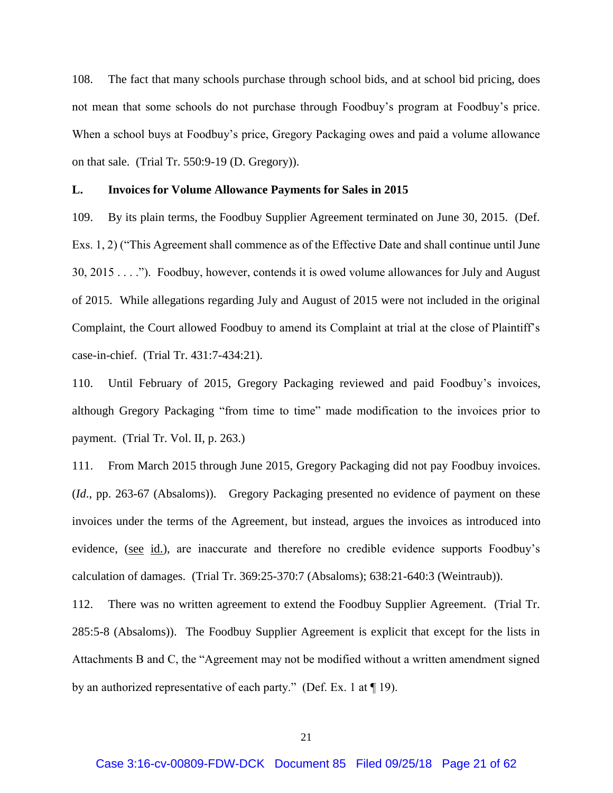108. The fact that many schools purchase through school bids, and at school bid pricing, does not mean that some schools do not purchase through Foodbuy's program at Foodbuy's price. When a school buys at Foodbuy's price, Gregory Packaging owes and paid a volume allowance on that sale. (Trial Tr. 550:9-19 (D. Gregory)).

#### **L. Invoices for Volume Allowance Payments for Sales in 2015**

109. By its plain terms, the Foodbuy Supplier Agreement terminated on June 30, 2015. (Def. Exs. 1, 2) ("This Agreement shall commence as of the Effective Date and shall continue until June 30, 2015 . . . ."). Foodbuy, however, contends it is owed volume allowances for July and August of 2015. While allegations regarding July and August of 2015 were not included in the original Complaint, the Court allowed Foodbuy to amend its Complaint at trial at the close of Plaintiff's case-in-chief. (Trial Tr. 431:7-434:21).

110. Until February of 2015, Gregory Packaging reviewed and paid Foodbuy's invoices, although Gregory Packaging "from time to time" made modification to the invoices prior to payment. (Trial Tr. Vol. II, p. 263.)

111. From March 2015 through June 2015, Gregory Packaging did not pay Foodbuy invoices. (*Id*., pp. 263-67 (Absaloms)). Gregory Packaging presented no evidence of payment on these invoices under the terms of the Agreement, but instead, argues the invoices as introduced into evidence, (see id.), are inaccurate and therefore no credible evidence supports Foodbuy's calculation of damages. (Trial Tr. 369:25-370:7 (Absaloms); 638:21-640:3 (Weintraub)).

112. There was no written agreement to extend the Foodbuy Supplier Agreement. (Trial Tr. 285:5-8 (Absaloms)). The Foodbuy Supplier Agreement is explicit that except for the lists in Attachments B and C, the "Agreement may not be modified without a written amendment signed by an authorized representative of each party." (Def. Ex. 1 at  $\P$  19).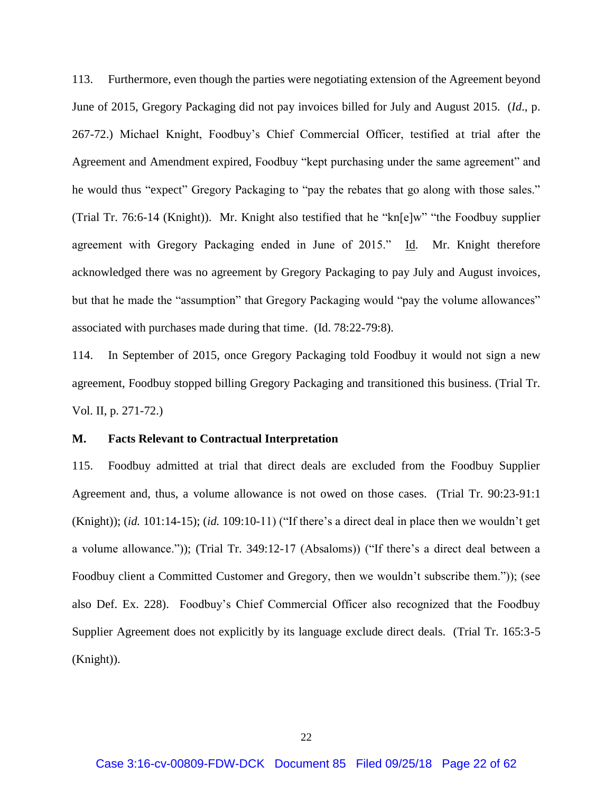113. Furthermore, even though the parties were negotiating extension of the Agreement beyond June of 2015, Gregory Packaging did not pay invoices billed for July and August 2015. (*Id*., p. 267-72.) Michael Knight, Foodbuy's Chief Commercial Officer, testified at trial after the Agreement and Amendment expired, Foodbuy "kept purchasing under the same agreement" and he would thus "expect" Gregory Packaging to "pay the rebates that go along with those sales." (Trial Tr. 76:6-14 (Knight)). Mr. Knight also testified that he "kn[e]w" "the Foodbuy supplier agreement with Gregory Packaging ended in June of 2015." Id. Mr. Knight therefore acknowledged there was no agreement by Gregory Packaging to pay July and August invoices, but that he made the "assumption" that Gregory Packaging would "pay the volume allowances" associated with purchases made during that time. (Id. 78:22-79:8).

114. In September of 2015, once Gregory Packaging told Foodbuy it would not sign a new agreement, Foodbuy stopped billing Gregory Packaging and transitioned this business. (Trial Tr. Vol. II, p. 271-72.)

## **M. Facts Relevant to Contractual Interpretation**

115. Foodbuy admitted at trial that direct deals are excluded from the Foodbuy Supplier Agreement and, thus, a volume allowance is not owed on those cases. (Trial Tr. 90:23-91:1 (Knight)); (*id.* 101:14-15); (*id.* 109:10-11) ("If there's a direct deal in place then we wouldn't get a volume allowance.")); (Trial Tr. 349:12-17 (Absaloms)) ("If there's a direct deal between a Foodbuy client a Committed Customer and Gregory, then we wouldn't subscribe them.")); (see also Def. Ex. 228). Foodbuy's Chief Commercial Officer also recognized that the Foodbuy Supplier Agreement does not explicitly by its language exclude direct deals. (Trial Tr. 165:3-5 (Knight)).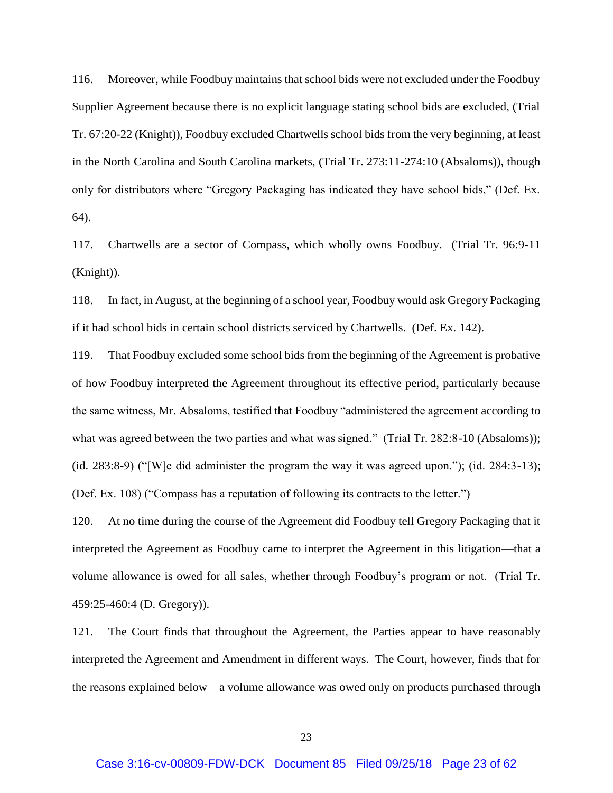116. Moreover, while Foodbuy maintains that school bids were not excluded under the Foodbuy Supplier Agreement because there is no explicit language stating school bids are excluded, (Trial Tr. 67:20-22 (Knight)), Foodbuy excluded Chartwells school bids from the very beginning, at least in the North Carolina and South Carolina markets, (Trial Tr. 273:11-274:10 (Absaloms)), though only for distributors where "Gregory Packaging has indicated they have school bids," (Def. Ex. 64).

117. Chartwells are a sector of Compass, which wholly owns Foodbuy. (Trial Tr. 96:9-11 (Knight)).

118. In fact, in August, at the beginning of a school year, Foodbuy would ask Gregory Packaging if it had school bids in certain school districts serviced by Chartwells. (Def. Ex. 142).

119. That Foodbuy excluded some school bids from the beginning of the Agreement is probative of how Foodbuy interpreted the Agreement throughout its effective period, particularly because the same witness, Mr. Absaloms, testified that Foodbuy "administered the agreement according to what was agreed between the two parties and what was signed." (Trial Tr. 282:8-10 (Absaloms)); (id. 283:8-9) ("[W]e did administer the program the way it was agreed upon."); (id. 284:3-13); (Def. Ex. 108) ("Compass has a reputation of following its contracts to the letter.")

120. At no time during the course of the Agreement did Foodbuy tell Gregory Packaging that it interpreted the Agreement as Foodbuy came to interpret the Agreement in this litigation—that a volume allowance is owed for all sales, whether through Foodbuy's program or not. (Trial Tr. 459:25-460:4 (D. Gregory)).

121. The Court finds that throughout the Agreement, the Parties appear to have reasonably interpreted the Agreement and Amendment in different ways. The Court, however, finds that for the reasons explained below—a volume allowance was owed only on products purchased through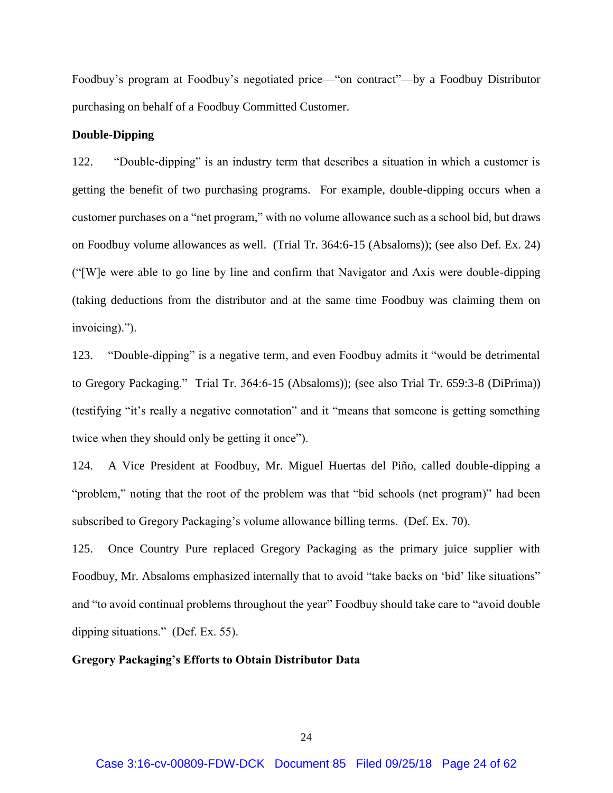Foodbuy's program at Foodbuy's negotiated price—"on contract"—by a Foodbuy Distributor purchasing on behalf of a Foodbuy Committed Customer.

## **Double-Dipping**

122. "Double-dipping" is an industry term that describes a situation in which a customer is getting the benefit of two purchasing programs. For example, double-dipping occurs when a customer purchases on a "net program," with no volume allowance such as a school bid, but draws on Foodbuy volume allowances as well. (Trial Tr. 364:6-15 (Absaloms)); (see also Def. Ex. 24) ("[W]e were able to go line by line and confirm that Navigator and Axis were double-dipping (taking deductions from the distributor and at the same time Foodbuy was claiming them on invoicing).").

123. "Double-dipping" is a negative term, and even Foodbuy admits it "would be detrimental to Gregory Packaging." Trial Tr. 364:6-15 (Absaloms)); (see also Trial Tr. 659:3-8 (DiPrima)) (testifying "it's really a negative connotation" and it "means that someone is getting something twice when they should only be getting it once").

124. A Vice President at Foodbuy, Mr. Miguel Huertas del Piño, called double-dipping a "problem," noting that the root of the problem was that "bid schools (net program)" had been subscribed to Gregory Packaging's volume allowance billing terms. (Def. Ex. 70).

125. Once Country Pure replaced Gregory Packaging as the primary juice supplier with Foodbuy, Mr. Absaloms emphasized internally that to avoid "take backs on 'bid' like situations" and "to avoid continual problems throughout the year" Foodbuy should take care to "avoid double dipping situations." (Def. Ex. 55).

## **Gregory Packaging's Efforts to Obtain Distributor Data**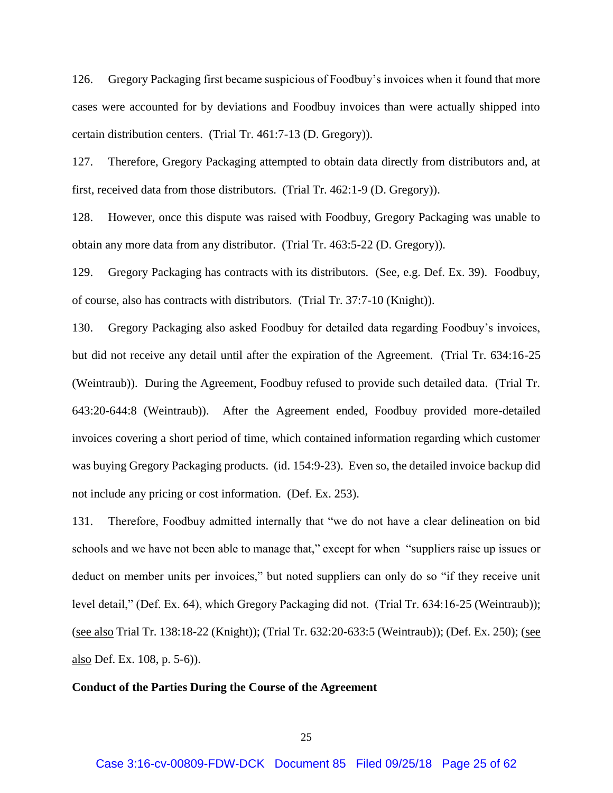126. Gregory Packaging first became suspicious of Foodbuy's invoices when it found that more cases were accounted for by deviations and Foodbuy invoices than were actually shipped into certain distribution centers. (Trial Tr. 461:7-13 (D. Gregory)).

127. Therefore, Gregory Packaging attempted to obtain data directly from distributors and, at first, received data from those distributors. (Trial Tr. 462:1-9 (D. Gregory)).

128. However, once this dispute was raised with Foodbuy, Gregory Packaging was unable to obtain any more data from any distributor. (Trial Tr. 463:5-22 (D. Gregory)).

129. Gregory Packaging has contracts with its distributors. (See, e.g. Def. Ex. 39). Foodbuy, of course, also has contracts with distributors. (Trial Tr. 37:7-10 (Knight)).

130. Gregory Packaging also asked Foodbuy for detailed data regarding Foodbuy's invoices, but did not receive any detail until after the expiration of the Agreement. (Trial Tr. 634:16-25 (Weintraub)). During the Agreement, Foodbuy refused to provide such detailed data. (Trial Tr. 643:20-644:8 (Weintraub)). After the Agreement ended, Foodbuy provided more-detailed invoices covering a short period of time, which contained information regarding which customer was buying Gregory Packaging products. (id. 154:9-23). Even so, the detailed invoice backup did not include any pricing or cost information. (Def. Ex. 253).

131. Therefore, Foodbuy admitted internally that "we do not have a clear delineation on bid schools and we have not been able to manage that," except for when "suppliers raise up issues or deduct on member units per invoices," but noted suppliers can only do so "if they receive unit level detail," (Def. Ex. 64), which Gregory Packaging did not. (Trial Tr. 634:16-25 (Weintraub)); (see also Trial Tr. 138:18-22 (Knight)); (Trial Tr. 632:20-633:5 (Weintraub)); (Def. Ex. 250); (see also Def. Ex. 108, p. 5-6)).

#### **Conduct of the Parties During the Course of the Agreement**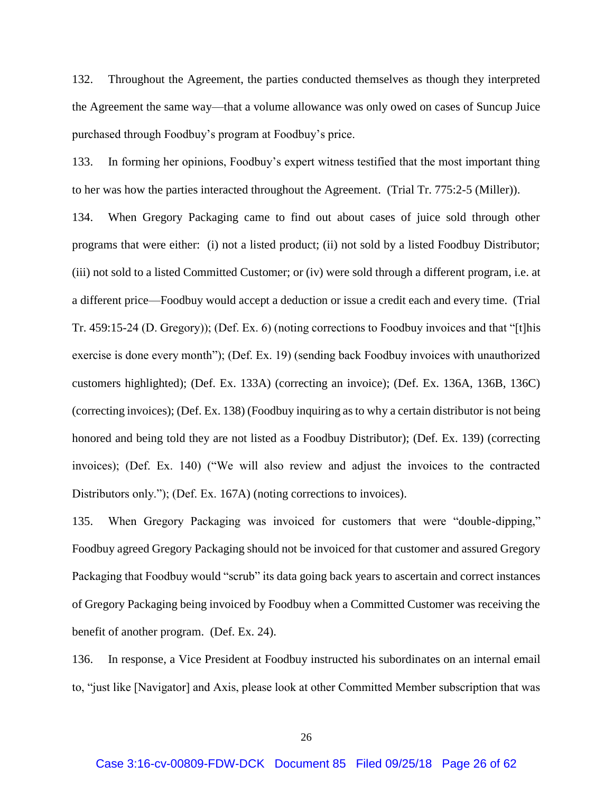132. Throughout the Agreement, the parties conducted themselves as though they interpreted the Agreement the same way—that a volume allowance was only owed on cases of Suncup Juice purchased through Foodbuy's program at Foodbuy's price.

133. In forming her opinions, Foodbuy's expert witness testified that the most important thing to her was how the parties interacted throughout the Agreement. (Trial Tr. 775:2-5 (Miller)).

134. When Gregory Packaging came to find out about cases of juice sold through other programs that were either: (i) not a listed product; (ii) not sold by a listed Foodbuy Distributor; (iii) not sold to a listed Committed Customer; or (iv) were sold through a different program, i.e. at a different price—Foodbuy would accept a deduction or issue a credit each and every time. (Trial Tr. 459:15-24 (D. Gregory)); (Def. Ex. 6) (noting corrections to Foodbuy invoices and that "[t]his exercise is done every month"); (Def. Ex. 19) (sending back Foodbuy invoices with unauthorized customers highlighted); (Def. Ex. 133A) (correcting an invoice); (Def. Ex. 136A, 136B, 136C) (correcting invoices); (Def. Ex. 138) (Foodbuy inquiring as to why a certain distributor is not being honored and being told they are not listed as a Foodbuy Distributor); (Def. Ex. 139) (correcting invoices); (Def. Ex. 140) ("We will also review and adjust the invoices to the contracted Distributors only."); (Def. Ex. 167A) (noting corrections to invoices).

135. When Gregory Packaging was invoiced for customers that were "double-dipping," Foodbuy agreed Gregory Packaging should not be invoiced for that customer and assured Gregory Packaging that Foodbuy would "scrub" its data going back years to ascertain and correct instances of Gregory Packaging being invoiced by Foodbuy when a Committed Customer was receiving the benefit of another program. (Def. Ex. 24).

136. In response, a Vice President at Foodbuy instructed his subordinates on an internal email to, "just like [Navigator] and Axis, please look at other Committed Member subscription that was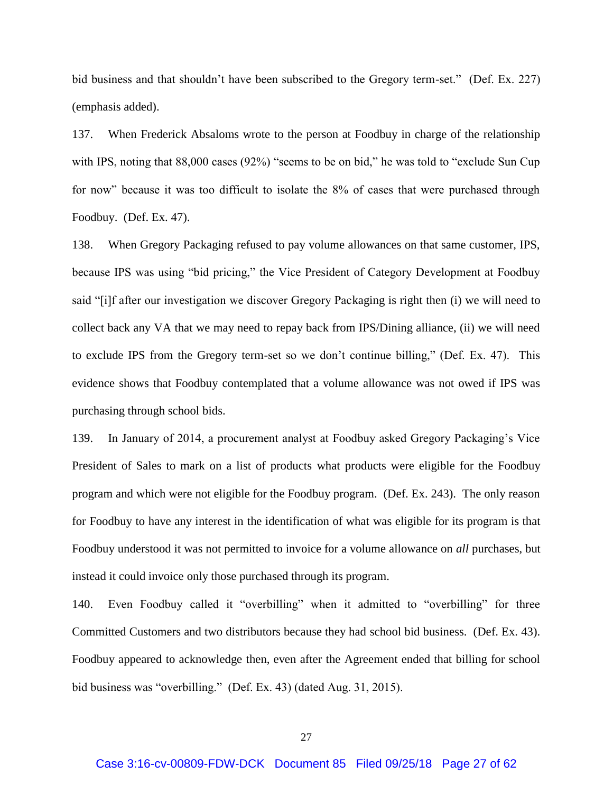bid business and that shouldn't have been subscribed to the Gregory term-set." (Def. Ex. 227) (emphasis added).

137. When Frederick Absaloms wrote to the person at Foodbuy in charge of the relationship with IPS, noting that 88,000 cases (92%) "seems to be on bid," he was told to "exclude Sun Cup for now" because it was too difficult to isolate the 8% of cases that were purchased through Foodbuy. (Def. Ex. 47).

138. When Gregory Packaging refused to pay volume allowances on that same customer, IPS, because IPS was using "bid pricing," the Vice President of Category Development at Foodbuy said "[i]f after our investigation we discover Gregory Packaging is right then (i) we will need to collect back any VA that we may need to repay back from IPS/Dining alliance, (ii) we will need to exclude IPS from the Gregory term-set so we don't continue billing," (Def. Ex. 47). This evidence shows that Foodbuy contemplated that a volume allowance was not owed if IPS was purchasing through school bids.

139. In January of 2014, a procurement analyst at Foodbuy asked Gregory Packaging's Vice President of Sales to mark on a list of products what products were eligible for the Foodbuy program and which were not eligible for the Foodbuy program. (Def. Ex. 243). The only reason for Foodbuy to have any interest in the identification of what was eligible for its program is that Foodbuy understood it was not permitted to invoice for a volume allowance on *all* purchases, but instead it could invoice only those purchased through its program.

140. Even Foodbuy called it "overbilling" when it admitted to "overbilling" for three Committed Customers and two distributors because they had school bid business. (Def. Ex. 43). Foodbuy appeared to acknowledge then, even after the Agreement ended that billing for school bid business was "overbilling." (Def. Ex. 43) (dated Aug. 31, 2015).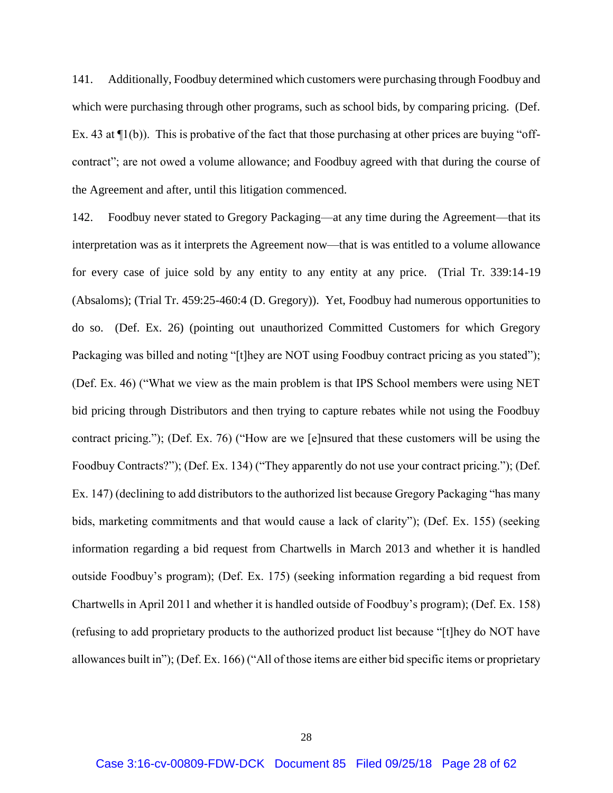141. Additionally, Foodbuy determined which customers were purchasing through Foodbuy and which were purchasing through other programs, such as school bids, by comparing pricing. (Def. Ex. 43 at  $\Pi(b)$ ). This is probative of the fact that those purchasing at other prices are buying "offcontract"; are not owed a volume allowance; and Foodbuy agreed with that during the course of the Agreement and after, until this litigation commenced.

142. Foodbuy never stated to Gregory Packaging—at any time during the Agreement—that its interpretation was as it interprets the Agreement now—that is was entitled to a volume allowance for every case of juice sold by any entity to any entity at any price. (Trial Tr. 339:14-19 (Absaloms); (Trial Tr. 459:25-460:4 (D. Gregory)). Yet, Foodbuy had numerous opportunities to do so. (Def. Ex. 26) (pointing out unauthorized Committed Customers for which Gregory Packaging was billed and noting "[t]hey are NOT using Foodbuy contract pricing as you stated"); (Def. Ex. 46) ("What we view as the main problem is that IPS School members were using NET bid pricing through Distributors and then trying to capture rebates while not using the Foodbuy contract pricing."); (Def. Ex. 76) ("How are we [e]nsured that these customers will be using the Foodbuy Contracts?"); (Def. Ex. 134) ("They apparently do not use your contract pricing."); (Def. Ex. 147) (declining to add distributors to the authorized list because Gregory Packaging "has many bids, marketing commitments and that would cause a lack of clarity"); (Def. Ex. 155) (seeking information regarding a bid request from Chartwells in March 2013 and whether it is handled outside Foodbuy's program); (Def. Ex. 175) (seeking information regarding a bid request from Chartwells in April 2011 and whether it is handled outside of Foodbuy's program); (Def. Ex. 158) (refusing to add proprietary products to the authorized product list because "[t]hey do NOT have allowances built in"); (Def. Ex. 166) ("All of those items are either bid specific items or proprietary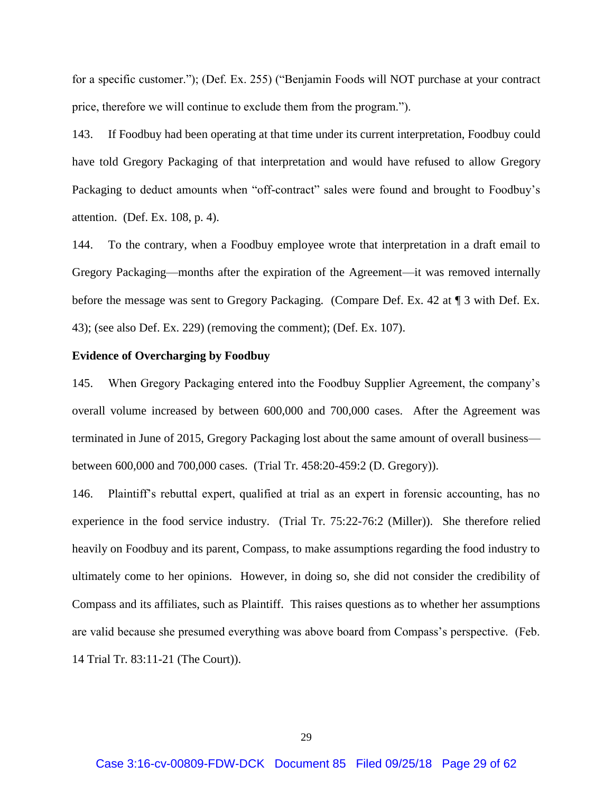for a specific customer."); (Def. Ex. 255) ("Benjamin Foods will NOT purchase at your contract price, therefore we will continue to exclude them from the program.").

143. If Foodbuy had been operating at that time under its current interpretation, Foodbuy could have told Gregory Packaging of that interpretation and would have refused to allow Gregory Packaging to deduct amounts when "off-contract" sales were found and brought to Foodbuy's attention. (Def. Ex. 108, p. 4).

144. To the contrary, when a Foodbuy employee wrote that interpretation in a draft email to Gregory Packaging—months after the expiration of the Agreement—it was removed internally before the message was sent to Gregory Packaging. (Compare Def. Ex. 42 at ¶ 3 with Def. Ex. 43); (see also Def. Ex. 229) (removing the comment); (Def. Ex. 107).

#### **Evidence of Overcharging by Foodbuy**

145. When Gregory Packaging entered into the Foodbuy Supplier Agreement, the company's overall volume increased by between 600,000 and 700,000 cases. After the Agreement was terminated in June of 2015, Gregory Packaging lost about the same amount of overall business between 600,000 and 700,000 cases. (Trial Tr. 458:20-459:2 (D. Gregory)).

146. Plaintiff's rebuttal expert, qualified at trial as an expert in forensic accounting, has no experience in the food service industry. (Trial Tr. 75:22-76:2 (Miller)). She therefore relied heavily on Foodbuy and its parent, Compass, to make assumptions regarding the food industry to ultimately come to her opinions. However, in doing so, she did not consider the credibility of Compass and its affiliates, such as Plaintiff. This raises questions as to whether her assumptions are valid because she presumed everything was above board from Compass's perspective. (Feb. 14 Trial Tr. 83:11-21 (The Court)).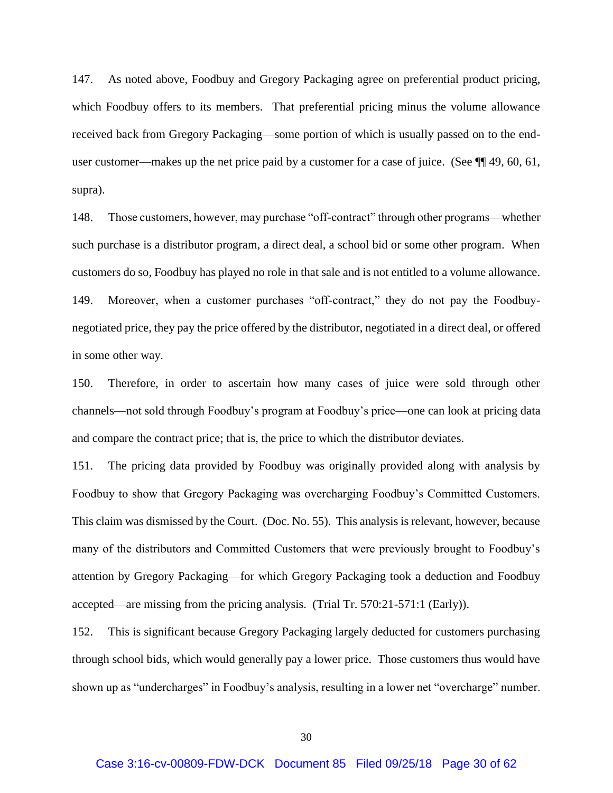147. As noted above, Foodbuy and Gregory Packaging agree on preferential product pricing, which Foodbuy offers to its members. That preferential pricing minus the volume allowance received back from Gregory Packaging—some portion of which is usually passed on to the enduser customer—makes up the net price paid by a customer for a case of juice. (See ¶[49, 60, 61, supra).

148. Those customers, however, may purchase "off-contract" through other programs—whether such purchase is a distributor program, a direct deal, a school bid or some other program. When customers do so, Foodbuy has played no role in that sale and is not entitled to a volume allowance. 149. Moreover, when a customer purchases "off-contract," they do not pay the Foodbuynegotiated price, they pay the price offered by the distributor, negotiated in a direct deal, or offered in some other way.

150. Therefore, in order to ascertain how many cases of juice were sold through other channels—not sold through Foodbuy's program at Foodbuy's price—one can look at pricing data and compare the contract price; that is, the price to which the distributor deviates.

151. The pricing data provided by Foodbuy was originally provided along with analysis by Foodbuy to show that Gregory Packaging was overcharging Foodbuy's Committed Customers. This claim was dismissed by the Court. (Doc. No. 55). This analysis is relevant, however, because many of the distributors and Committed Customers that were previously brought to Foodbuy's attention by Gregory Packaging—for which Gregory Packaging took a deduction and Foodbuy accepted—are missing from the pricing analysis. (Trial Tr. 570:21-571:1 (Early)).

152. This is significant because Gregory Packaging largely deducted for customers purchasing through school bids, which would generally pay a lower price. Those customers thus would have shown up as "undercharges" in Foodbuy's analysis, resulting in a lower net "overcharge" number.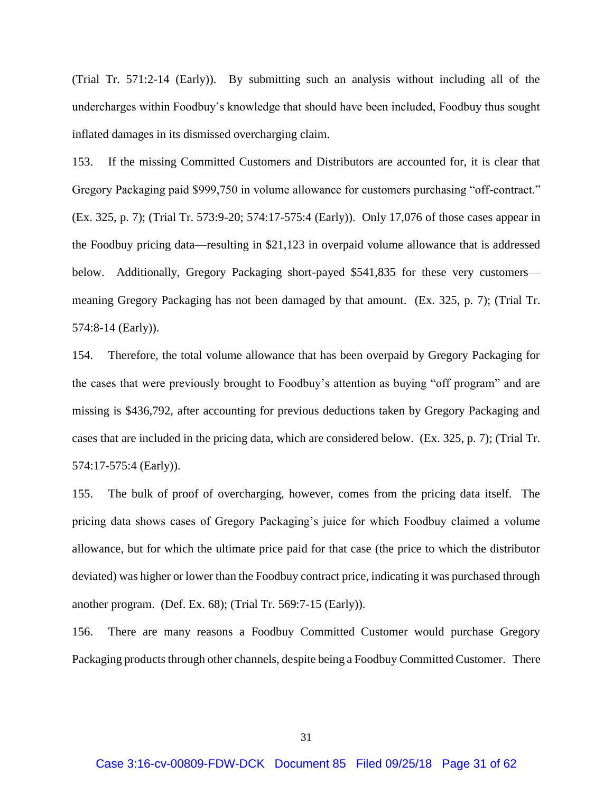(Trial Tr. 571:2-14 (Early)). By submitting such an analysis without including all of the undercharges within Foodbuy's knowledge that should have been included, Foodbuy thus sought inflated damages in its dismissed overcharging claim.

153. If the missing Committed Customers and Distributors are accounted for, it is clear that Gregory Packaging paid \$999,750 in volume allowance for customers purchasing "off-contract." (Ex. 325, p. 7); (Trial Tr. 573:9-20; 574:17-575:4 (Early)). Only 17,076 of those cases appear in the Foodbuy pricing data—resulting in \$21,123 in overpaid volume allowance that is addressed below. Additionally, Gregory Packaging short-payed \$541,835 for these very customers meaning Gregory Packaging has not been damaged by that amount. (Ex. 325, p. 7); (Trial Tr. 574:8-14 (Early)).

154. Therefore, the total volume allowance that has been overpaid by Gregory Packaging for the cases that were previously brought to Foodbuy's attention as buying "off program" and are missing is \$436,792, after accounting for previous deductions taken by Gregory Packaging and cases that are included in the pricing data, which are considered below. (Ex. 325, p. 7); (Trial Tr. 574:17-575:4 (Early)).

155. The bulk of proof of overcharging, however, comes from the pricing data itself. The pricing data shows cases of Gregory Packaging's juice for which Foodbuy claimed a volume allowance, but for which the ultimate price paid for that case (the price to which the distributor deviated) was higher or lower than the Foodbuy contract price, indicating it was purchased through another program. (Def. Ex. 68); (Trial Tr. 569:7-15 (Early)).

156. There are many reasons a Foodbuy Committed Customer would purchase Gregory Packaging products through other channels, despite being a Foodbuy Committed Customer. There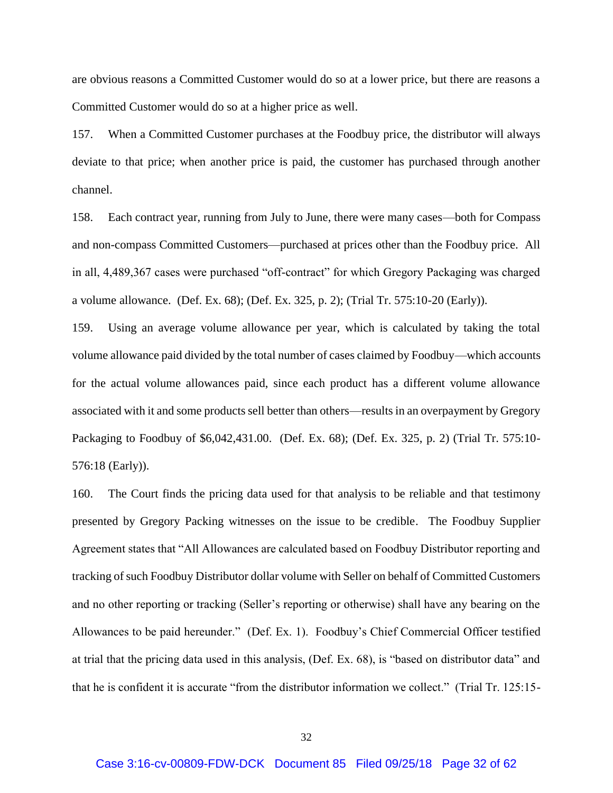are obvious reasons a Committed Customer would do so at a lower price, but there are reasons a Committed Customer would do so at a higher price as well.

157. When a Committed Customer purchases at the Foodbuy price, the distributor will always deviate to that price; when another price is paid, the customer has purchased through another channel.

158. Each contract year, running from July to June, there were many cases—both for Compass and non-compass Committed Customers—purchased at prices other than the Foodbuy price. All in all, 4,489,367 cases were purchased "off-contract" for which Gregory Packaging was charged a volume allowance. (Def. Ex. 68); (Def. Ex. 325, p. 2); (Trial Tr. 575:10-20 (Early)).

159. Using an average volume allowance per year, which is calculated by taking the total volume allowance paid divided by the total number of cases claimed by Foodbuy—which accounts for the actual volume allowances paid, since each product has a different volume allowance associated with it and some products sell better than others—results in an overpayment by Gregory Packaging to Foodbuy of \$6,042,431.00. (Def. Ex. 68); (Def. Ex. 325, p. 2) (Trial Tr. 575:10- 576:18 (Early)).

160. The Court finds the pricing data used for that analysis to be reliable and that testimony presented by Gregory Packing witnesses on the issue to be credible. The Foodbuy Supplier Agreement states that "All Allowances are calculated based on Foodbuy Distributor reporting and tracking of such Foodbuy Distributor dollar volume with Seller on behalf of Committed Customers and no other reporting or tracking (Seller's reporting or otherwise) shall have any bearing on the Allowances to be paid hereunder." (Def. Ex. 1). Foodbuy's Chief Commercial Officer testified at trial that the pricing data used in this analysis, (Def. Ex. 68), is "based on distributor data" and that he is confident it is accurate "from the distributor information we collect." (Trial Tr. 125:15-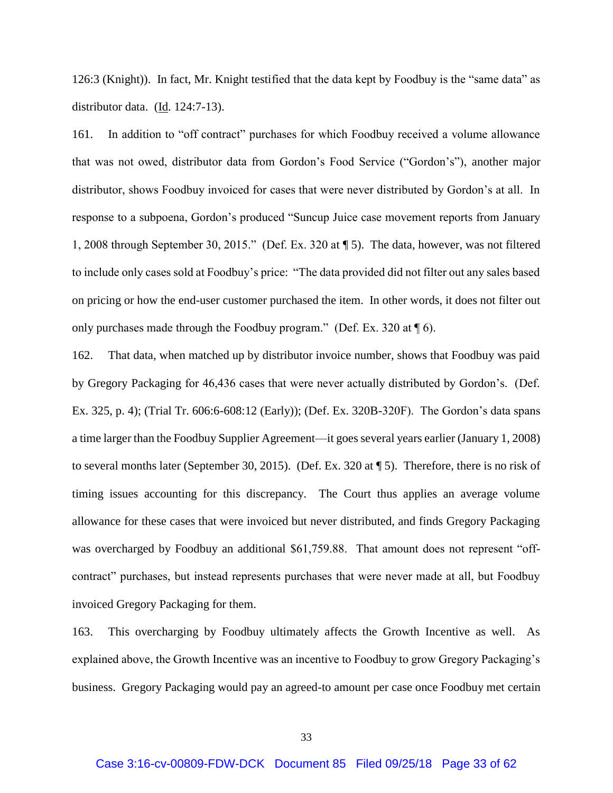126:3 (Knight)). In fact, Mr. Knight testified that the data kept by Foodbuy is the "same data" as distributor data. (Id. 124:7-13).

161. In addition to "off contract" purchases for which Foodbuy received a volume allowance that was not owed, distributor data from Gordon's Food Service ("Gordon's"), another major distributor, shows Foodbuy invoiced for cases that were never distributed by Gordon's at all. In response to a subpoena, Gordon's produced "Suncup Juice case movement reports from January 1, 2008 through September 30, 2015." (Def. Ex. 320 at ¶ 5). The data, however, was not filtered to include only cases sold at Foodbuy's price: "The data provided did not filter out any sales based on pricing or how the end-user customer purchased the item. In other words, it does not filter out only purchases made through the Foodbuy program." (Def. Ex. 320 at  $\P$  6).

162. That data, when matched up by distributor invoice number, shows that Foodbuy was paid by Gregory Packaging for 46,436 cases that were never actually distributed by Gordon's. (Def. Ex. 325, p. 4); (Trial Tr. 606:6-608:12 (Early)); (Def. Ex. 320B-320F). The Gordon's data spans a time larger than the Foodbuy Supplier Agreement—it goes several years earlier (January 1, 2008) to several months later (September 30, 2015). (Def. Ex. 320 at ¶ 5). Therefore, there is no risk of timing issues accounting for this discrepancy. The Court thus applies an average volume allowance for these cases that were invoiced but never distributed, and finds Gregory Packaging was overcharged by Foodbuy an additional \$61,759.88. That amount does not represent "offcontract" purchases, but instead represents purchases that were never made at all, but Foodbuy invoiced Gregory Packaging for them.

163. This overcharging by Foodbuy ultimately affects the Growth Incentive as well. As explained above, the Growth Incentive was an incentive to Foodbuy to grow Gregory Packaging's business. Gregory Packaging would pay an agreed-to amount per case once Foodbuy met certain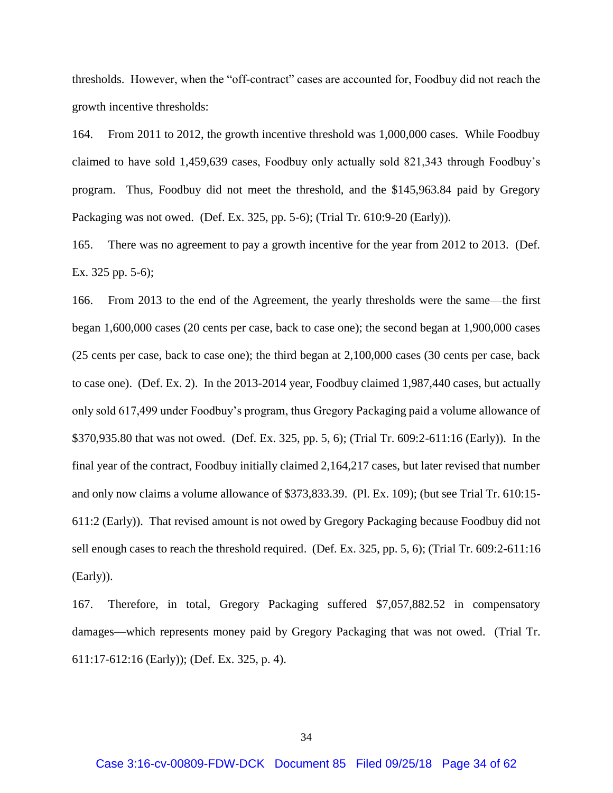thresholds. However, when the "off-contract" cases are accounted for, Foodbuy did not reach the growth incentive thresholds:

164. From 2011 to 2012, the growth incentive threshold was 1,000,000 cases. While Foodbuy claimed to have sold 1,459,639 cases, Foodbuy only actually sold 821,343 through Foodbuy's program. Thus, Foodbuy did not meet the threshold, and the \$145,963.84 paid by Gregory Packaging was not owed. (Def. Ex. 325, pp. 5-6); (Trial Tr. 610:9-20 (Early)).

165. There was no agreement to pay a growth incentive for the year from 2012 to 2013. (Def. Ex. 325 pp. 5-6);

166. From 2013 to the end of the Agreement, the yearly thresholds were the same—the first began 1,600,000 cases (20 cents per case, back to case one); the second began at 1,900,000 cases (25 cents per case, back to case one); the third began at 2,100,000 cases (30 cents per case, back to case one). (Def. Ex. 2). In the 2013-2014 year, Foodbuy claimed 1,987,440 cases, but actually only sold 617,499 under Foodbuy's program, thus Gregory Packaging paid a volume allowance of \$370,935.80 that was not owed. (Def. Ex. 325, pp. 5, 6); (Trial Tr. 609:2-611:16 (Early)). In the final year of the contract, Foodbuy initially claimed 2,164,217 cases, but later revised that number and only now claims a volume allowance of \$373,833.39. (Pl. Ex. 109); (but see Trial Tr. 610:15- 611:2 (Early)). That revised amount is not owed by Gregory Packaging because Foodbuy did not sell enough cases to reach the threshold required. (Def. Ex. 325, pp. 5, 6); (Trial Tr. 609:2-611:16 (Early)).

167. Therefore, in total, Gregory Packaging suffered \$7,057,882.52 in compensatory damages—which represents money paid by Gregory Packaging that was not owed. (Trial Tr. 611:17-612:16 (Early)); (Def. Ex. 325, p. 4).

34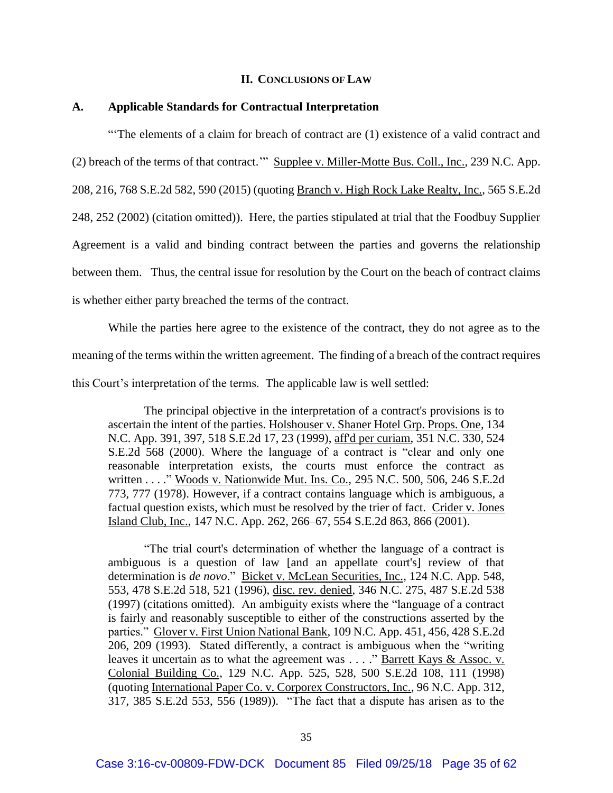#### **II. CONCLUSIONS OF LAW**

### **A. Applicable Standards for Contractual Interpretation**

"'The elements of a claim for breach of contract are (1) existence of a valid contract and (2) breach of the terms of that contract.'" Supplee v. Miller-Motte Bus. Coll., Inc., 239 N.C. App. 208, 216, 768 S.E.2d 582, 590 (2015) (quoting Branch v. High Rock Lake Realty, Inc., 565 S.E.2d 248, 252 (2002) (citation omitted)). Here, the parties stipulated at trial that the Foodbuy Supplier Agreement is a valid and binding contract between the parties and governs the relationship between them. Thus, the central issue for resolution by the Court on the beach of contract claims is whether either party breached the terms of the contract.

While the parties here agree to the existence of the contract, they do not agree as to the meaning of the terms within the written agreement. The finding of a breach of the contract requires this Court's interpretation of the terms. The applicable law is well settled:

The principal objective in the interpretation of a contract's provisions is to ascertain the intent of the parties. Holshouser v. Shaner Hotel Grp. Props. One, 134 N.C. App. 391, 397, 518 S.E.2d 17, 23 (1999), aff'd per curiam, 351 N.C. 330, 524 S.E.2d 568 (2000). Where the language of a contract is "clear and only one reasonable interpretation exists, the courts must enforce the contract as written . . . ." Woods v. Nationwide Mut. Ins. Co., 295 N.C. 500, 506, 246 S.E.2d 773, 777 (1978). However, if a contract contains language which is ambiguous, a factual question exists, which must be resolved by the trier of fact. Crider v. Jones Island Club, Inc., 147 N.C. App. 262, 266–67, 554 S.E.2d 863, 866 (2001).

"The trial court's determination of whether the language of a contract is ambiguous is a question of law [and an appellate court's] review of that determination is *de novo*." Bicket v. McLean Securities, Inc., 124 N.C. App. 548, 553, 478 S.E.2d 518, 521 (1996), disc. rev. denied, 346 N.C. 275, 487 S.E.2d 538 (1997) (citations omitted). An ambiguity exists where the "language of a contract is fairly and reasonably susceptible to either of the constructions asserted by the parties." Glover v. First Union National Bank, 109 N.C. App. 451, 456, 428 S.E.2d 206, 209 (1993). Stated differently, a contract is ambiguous when the "writing leaves it uncertain as to what the agreement was . . . ." Barrett Kays & Assoc. v. Colonial Building Co., 129 N.C. App. 525, 528, 500 S.E.2d 108, 111 (1998) (quoting International Paper Co. v. Corporex Constructors, Inc., 96 N.C. App. 312, 317, 385 S.E.2d 553, 556 (1989)). "The fact that a dispute has arisen as to the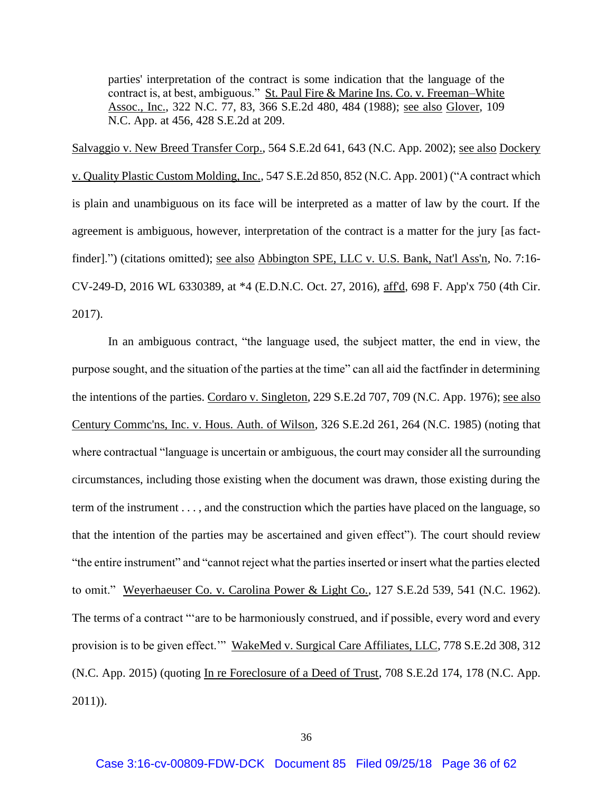parties' interpretation of the contract is some indication that the language of the contract is, at best, ambiguous." St. Paul Fire & Marine Ins. Co. v. Freeman–White Assoc., Inc., 322 N.C. 77, 83, 366 S.E.2d 480, 484 (1988); see also Glover, 109 N.C. App. at 456, 428 S.E.2d at 209.

Salvaggio v. New Breed Transfer Corp., 564 S.E.2d 641, 643 (N.C. App. 2002); see also Dockery v. Quality Plastic Custom Molding, Inc., 547 S.E.2d 850, 852 (N.C. App. 2001) ("A contract which is plain and unambiguous on its face will be interpreted as a matter of law by the court. If the agreement is ambiguous, however, interpretation of the contract is a matter for the jury [as factfinder].") (citations omitted); <u>see also Abbington SPE</u>, LLC v. U.S. Bank, Nat'l Ass'n, No. 7:16-CV-249-D, 2016 WL 6330389, at \*4 (E.D.N.C. Oct. 27, 2016), aff'd, 698 F. App'x 750 (4th Cir. 2017).

In an ambiguous contract, "the language used, the subject matter, the end in view, the purpose sought, and the situation of the parties at the time" can all aid the factfinder in determining the intentions of the parties. Cordaro v. Singleton, 229 S.E.2d 707, 709 (N.C. App. 1976); see also Century Commc'ns, Inc. v. Hous. Auth. of Wilson, 326 S.E.2d 261, 264 (N.C. 1985) (noting that where contractual "language is uncertain or ambiguous, the court may consider all the surrounding circumstances, including those existing when the document was drawn, those existing during the term of the instrument . . . , and the construction which the parties have placed on the language, so that the intention of the parties may be ascertained and given effect"). The court should review "the entire instrument" and "cannot reject what the parties inserted or insert what the parties elected to omit." Weyerhaeuser Co. v. Carolina Power & Light Co., 127 S.E.2d 539, 541 (N.C. 1962). The terms of a contract "'are to be harmoniously construed, and if possible, every word and every provision is to be given effect.'" WakeMed v. Surgical Care Affiliates, LLC, 778 S.E.2d 308, 312 (N.C. App. 2015) (quoting In re Foreclosure of a Deed of Trust, 708 S.E.2d 174, 178 (N.C. App. 2011)).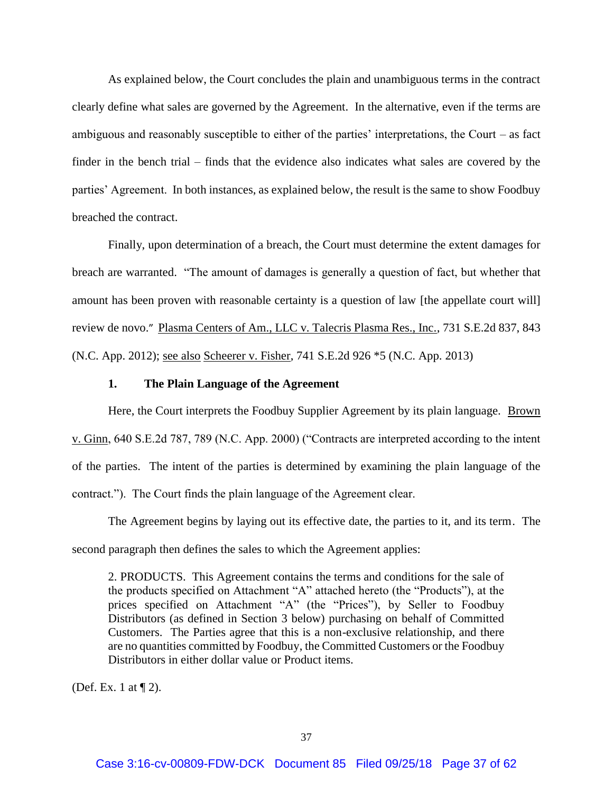As explained below, the Court concludes the plain and unambiguous terms in the contract clearly define what sales are governed by the Agreement. In the alternative, even if the terms are ambiguous and reasonably susceptible to either of the parties' interpretations, the Court – as fact finder in the bench trial – finds that the evidence also indicates what sales are covered by the parties' Agreement. In both instances, as explained below, the result is the same to show Foodbuy breached the contract.

Finally, upon determination of a breach, the Court must determine the extent damages for breach are warranted. "The amount of damages is generally a question of fact, but whether that amount has been proven with reasonable certainty is a question of law [the appellate court will] review de novo." Plasma Centers of Am., LLC v. Talecris Plasma Res., Inc., 731 S.E.2d 837, 843 (N.C. App. 2012); see also Scheerer v. Fisher, 741 S.E.2d 926 \*5 (N.C. App. 2013)

#### **1. The Plain Language of the Agreement**

Here, the Court interprets the Foodbuy Supplier Agreement by its plain language. Brown v. Ginn, 640 S.E.2d 787, 789 (N.C. App. 2000) ("Contracts are interpreted according to the intent of the parties. The intent of the parties is determined by examining the plain language of the contract."). The Court finds the plain language of the Agreement clear.

The Agreement begins by laying out its effective date, the parties to it, and its term. The second paragraph then defines the sales to which the Agreement applies:

2. PRODUCTS. This Agreement contains the terms and conditions for the sale of the products specified on Attachment "A" attached hereto (the "Products"), at the prices specified on Attachment "A" (the "Prices"), by Seller to Foodbuy Distributors (as defined in Section 3 below) purchasing on behalf of Committed Customers. The Parties agree that this is a non-exclusive relationship, and there are no quantities committed by Foodbuy, the Committed Customers or the Foodbuy Distributors in either dollar value or Product items.

(Def. Ex. 1 at ¶ 2).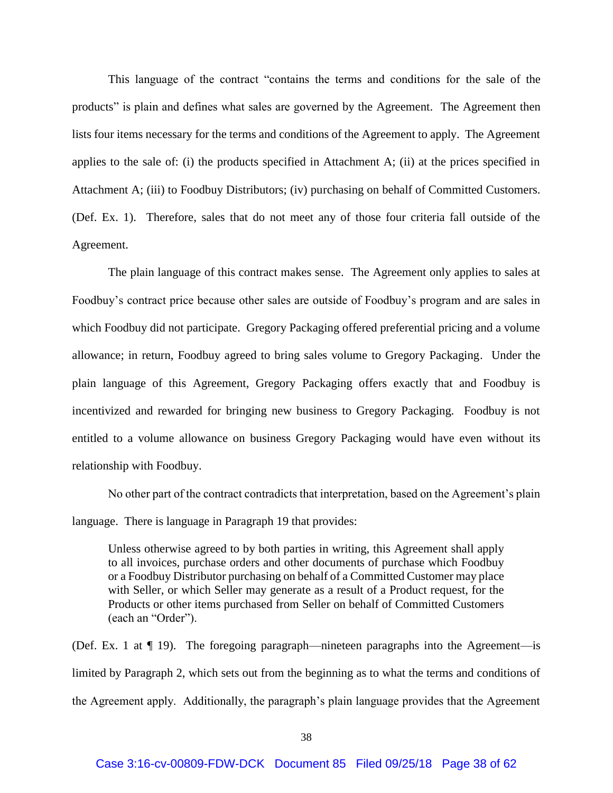This language of the contract "contains the terms and conditions for the sale of the products" is plain and defines what sales are governed by the Agreement. The Agreement then lists four items necessary for the terms and conditions of the Agreement to apply. The Agreement applies to the sale of: (i) the products specified in Attachment A; (ii) at the prices specified in Attachment A; (iii) to Foodbuy Distributors; (iv) purchasing on behalf of Committed Customers. (Def. Ex. 1). Therefore, sales that do not meet any of those four criteria fall outside of the Agreement.

The plain language of this contract makes sense. The Agreement only applies to sales at Foodbuy's contract price because other sales are outside of Foodbuy's program and are sales in which Foodbuy did not participate. Gregory Packaging offered preferential pricing and a volume allowance; in return, Foodbuy agreed to bring sales volume to Gregory Packaging. Under the plain language of this Agreement, Gregory Packaging offers exactly that and Foodbuy is incentivized and rewarded for bringing new business to Gregory Packaging. Foodbuy is not entitled to a volume allowance on business Gregory Packaging would have even without its relationship with Foodbuy.

No other part of the contract contradicts that interpretation, based on the Agreement's plain language. There is language in Paragraph 19 that provides:

Unless otherwise agreed to by both parties in writing, this Agreement shall apply to all invoices, purchase orders and other documents of purchase which Foodbuy or a Foodbuy Distributor purchasing on behalf of a Committed Customer may place with Seller, or which Seller may generate as a result of a Product request, for the Products or other items purchased from Seller on behalf of Committed Customers (each an "Order").

(Def. Ex. 1 at ¶ 19). The foregoing paragraph—nineteen paragraphs into the Agreement—is limited by Paragraph 2, which sets out from the beginning as to what the terms and conditions of the Agreement apply. Additionally, the paragraph's plain language provides that the Agreement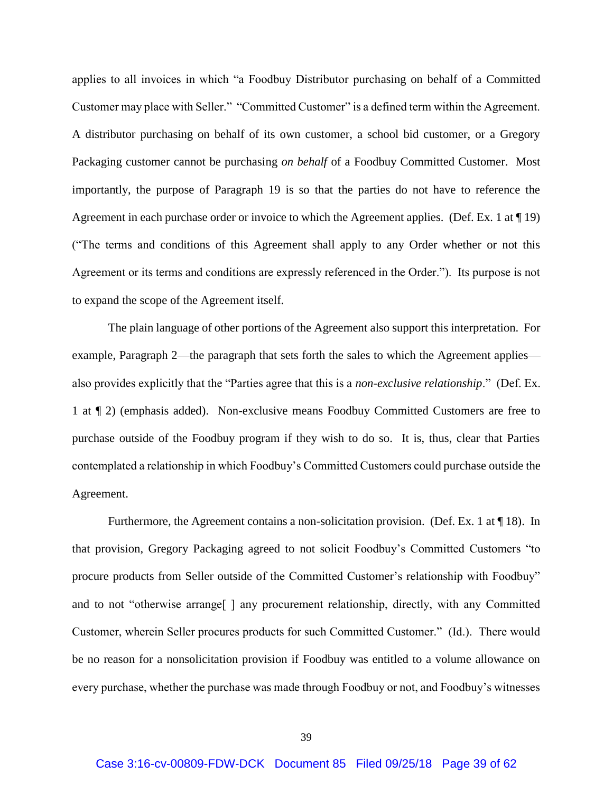applies to all invoices in which "a Foodbuy Distributor purchasing on behalf of a Committed Customer may place with Seller." "Committed Customer" is a defined term within the Agreement. A distributor purchasing on behalf of its own customer, a school bid customer, or a Gregory Packaging customer cannot be purchasing *on behalf* of a Foodbuy Committed Customer. Most importantly, the purpose of Paragraph 19 is so that the parties do not have to reference the Agreement in each purchase order or invoice to which the Agreement applies. (Def. Ex. 1 at ¶ 19) ("The terms and conditions of this Agreement shall apply to any Order whether or not this Agreement or its terms and conditions are expressly referenced in the Order."). Its purpose is not to expand the scope of the Agreement itself.

The plain language of other portions of the Agreement also support this interpretation. For example, Paragraph 2—the paragraph that sets forth the sales to which the Agreement applies also provides explicitly that the "Parties agree that this is a *non-exclusive relationship*." (Def. Ex. 1 at ¶ 2) (emphasis added). Non-exclusive means Foodbuy Committed Customers are free to purchase outside of the Foodbuy program if they wish to do so. It is, thus, clear that Parties contemplated a relationship in which Foodbuy's Committed Customers could purchase outside the Agreement.

Furthermore, the Agreement contains a non-solicitation provision. (Def. Ex. 1 at  $\P$  18). In that provision, Gregory Packaging agreed to not solicit Foodbuy's Committed Customers "to procure products from Seller outside of the Committed Customer's relationship with Foodbuy" and to not "otherwise arrange[ ] any procurement relationship, directly, with any Committed Customer, wherein Seller procures products for such Committed Customer." (Id.). There would be no reason for a nonsolicitation provision if Foodbuy was entitled to a volume allowance on every purchase, whether the purchase was made through Foodbuy or not, and Foodbuy's witnesses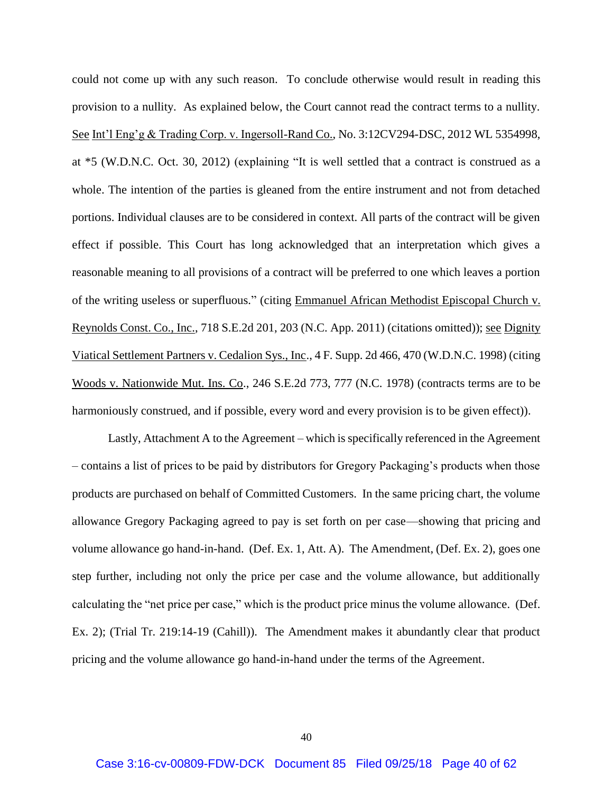could not come up with any such reason. To conclude otherwise would result in reading this provision to a nullity. As explained below, the Court cannot read the contract terms to a nullity. See Int'l Eng'g & Trading Corp. v. Ingersoll-Rand Co., No. 3:12CV294-DSC, 2012 WL 5354998, at \*5 (W.D.N.C. Oct. 30, 2012) (explaining "It is well settled that a contract is construed as a whole. The intention of the parties is gleaned from the entire instrument and not from detached portions. Individual clauses are to be considered in context. All parts of the contract will be given effect if possible. This Court has long acknowledged that an interpretation which gives a reasonable meaning to all provisions of a contract will be preferred to one which leaves a portion of the writing useless or superfluous." (citing Emmanuel African Methodist Episcopal Church v. Reynolds Const. Co., Inc., 718 S.E.2d 201, 203 (N.C. App. 2011) (citations omitted)); see Dignity Viatical Settlement Partners v. Cedalion Sys., Inc., 4 F. Supp. 2d 466, 470 (W.D.N.C. 1998) (citing Woods v. Nationwide Mut. Ins. Co., 246 S.E.2d 773, 777 (N.C. 1978) (contracts terms are to be harmoniously construed, and if possible, every word and every provision is to be given effect)).

Lastly, Attachment A to the Agreement – which is specifically referenced in the Agreement – contains a list of prices to be paid by distributors for Gregory Packaging's products when those products are purchased on behalf of Committed Customers. In the same pricing chart, the volume allowance Gregory Packaging agreed to pay is set forth on per case—showing that pricing and volume allowance go hand-in-hand. (Def. Ex. 1, Att. A). The Amendment, (Def. Ex. 2), goes one step further, including not only the price per case and the volume allowance, but additionally calculating the "net price per case," which is the product price minus the volume allowance. (Def. Ex. 2); (Trial Tr. 219:14-19 (Cahill)). The Amendment makes it abundantly clear that product pricing and the volume allowance go hand-in-hand under the terms of the Agreement.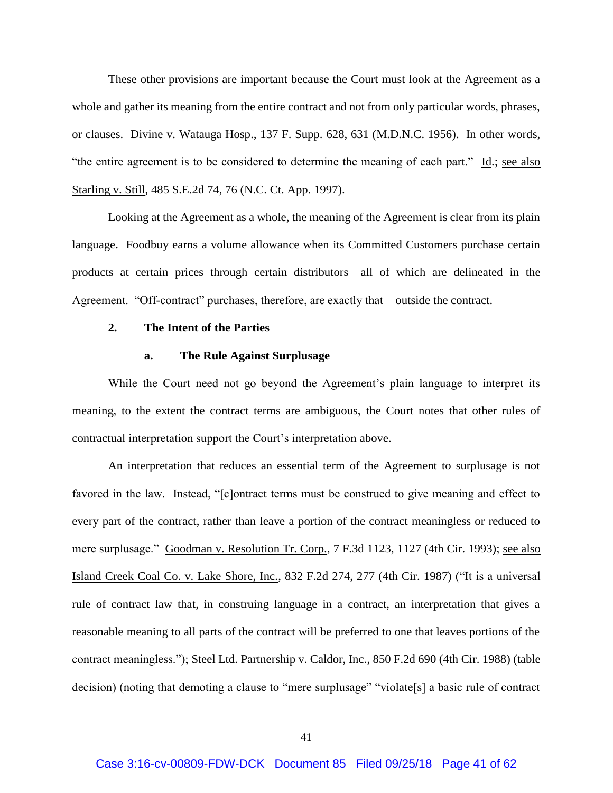These other provisions are important because the Court must look at the Agreement as a whole and gather its meaning from the entire contract and not from only particular words, phrases, or clauses. Divine v. Watauga Hosp., 137 F. Supp. 628, 631 (M.D.N.C. 1956). In other words, "the entire agreement is to be considered to determine the meaning of each part." Id.; see also Starling v. Still, 485 S.E.2d 74, 76 (N.C. Ct. App. 1997).

Looking at the Agreement as a whole, the meaning of the Agreement is clear from its plain language. Foodbuy earns a volume allowance when its Committed Customers purchase certain products at certain prices through certain distributors—all of which are delineated in the Agreement. "Off-contract" purchases, therefore, are exactly that—outside the contract.

## **2. The Intent of the Parties**

### **a. The Rule Against Surplusage**

While the Court need not go beyond the Agreement's plain language to interpret its meaning, to the extent the contract terms are ambiguous, the Court notes that other rules of contractual interpretation support the Court's interpretation above.

An interpretation that reduces an essential term of the Agreement to surplusage is not favored in the law. Instead, "[c]ontract terms must be construed to give meaning and effect to every part of the contract, rather than leave a portion of the contract meaningless or reduced to mere surplusage." Goodman v. Resolution Tr. Corp., 7 F.3d 1123, 1127 (4th Cir. 1993); see also Island Creek Coal Co. v. Lake Shore, Inc., 832 F.2d 274, 277 (4th Cir. 1987) ("It is a universal rule of contract law that, in construing language in a contract, an interpretation that gives a reasonable meaning to all parts of the contract will be preferred to one that leaves portions of the contract meaningless."); Steel Ltd. Partnership v. Caldor, Inc., 850 F.2d 690 (4th Cir. 1988) (table decision) (noting that demoting a clause to "mere surplusage" "violate[s] a basic rule of contract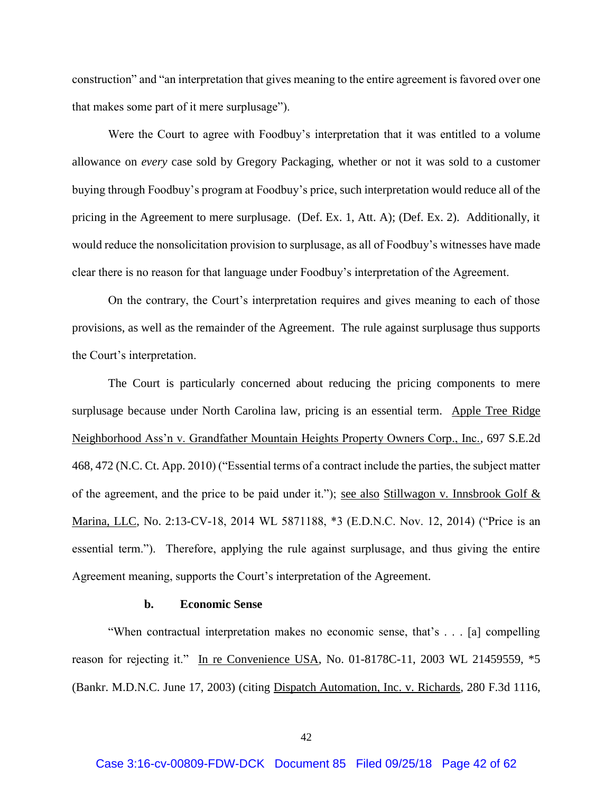construction" and "an interpretation that gives meaning to the entire agreement is favored over one that makes some part of it mere surplusage").

Were the Court to agree with Foodbuy's interpretation that it was entitled to a volume allowance on *every* case sold by Gregory Packaging, whether or not it was sold to a customer buying through Foodbuy's program at Foodbuy's price, such interpretation would reduce all of the pricing in the Agreement to mere surplusage. (Def. Ex. 1, Att. A); (Def. Ex. 2). Additionally, it would reduce the nonsolicitation provision to surplusage, as all of Foodbuy's witnesses have made clear there is no reason for that language under Foodbuy's interpretation of the Agreement.

On the contrary, the Court's interpretation requires and gives meaning to each of those provisions, as well as the remainder of the Agreement. The rule against surplusage thus supports the Court's interpretation.

The Court is particularly concerned about reducing the pricing components to mere surplusage because under North Carolina law, pricing is an essential term. Apple Tree Ridge Neighborhood Ass'n v. Grandfather Mountain Heights Property Owners Corp., Inc., 697 S.E.2d 468, 472 (N.C. Ct. App. 2010) ("Essential terms of a contract include the parties, the subject matter of the agreement, and the price to be paid under it."); see also Stillwagon v. Innsbrook Golf & Marina, LLC, No. 2:13-CV-18, 2014 WL 5871188, \*3 (E.D.N.C. Nov. 12, 2014) ("Price is an essential term."). Therefore, applying the rule against surplusage, and thus giving the entire Agreement meaning, supports the Court's interpretation of the Agreement.

#### **b. Economic Sense**

"When contractual interpretation makes no economic sense, that's . . . [a] compelling reason for rejecting it." In re Convenience USA, No. 01-8178C-11, 2003 WL 21459559, \*5 (Bankr. M.D.N.C. June 17, 2003) (citing Dispatch Automation, Inc. v. Richards, 280 F.3d 1116,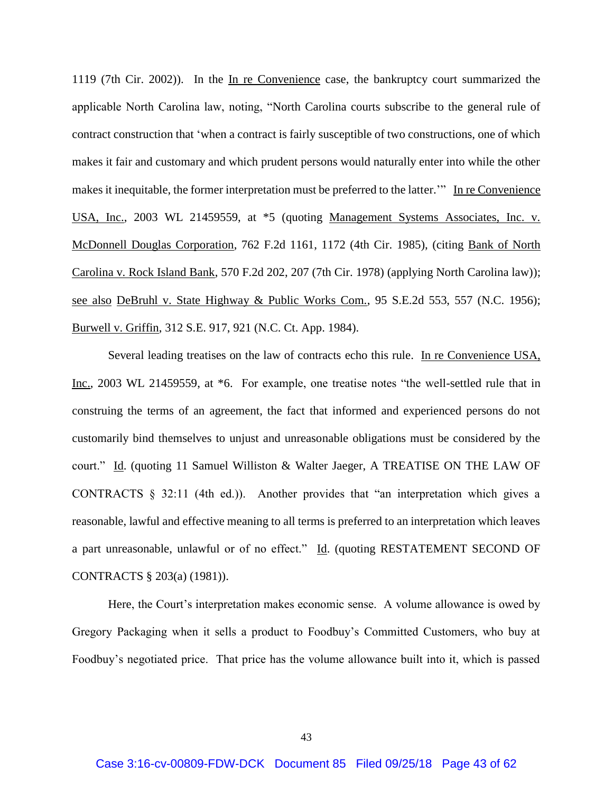1119 (7th Cir. 2002)). In the In re Convenience case, the bankruptcy court summarized the applicable North Carolina law, noting, "North Carolina courts subscribe to the general rule of contract construction that 'when a contract is fairly susceptible of two constructions, one of which makes it fair and customary and which prudent persons would naturally enter into while the other makes it inequitable, the former interpretation must be preferred to the latter.'" In re Convenience USA, Inc., 2003 WL 21459559, at \*5 (quoting Management Systems Associates, Inc. v. McDonnell Douglas Corporation, 762 F.2d 1161, 1172 (4th Cir. 1985), (citing Bank of North Carolina v. Rock Island Bank, 570 F.2d 202, 207 (7th Cir. 1978) (applying North Carolina law)); see also DeBruhl v. State Highway & Public Works Com., 95 S.E.2d 553, 557 (N.C. 1956); Burwell v. Griffin, 312 S.E. 917, 921 (N.C. Ct. App. 1984).

Several leading treatises on the law of contracts echo this rule. In re Convenience USA, Inc., 2003 WL 21459559, at \*6. For example, one treatise notes "the well-settled rule that in construing the terms of an agreement, the fact that informed and experienced persons do not customarily bind themselves to unjust and unreasonable obligations must be considered by the court." Id. (quoting 11 Samuel Williston & Walter Jaeger, A TREATISE ON THE LAW OF CONTRACTS § 32:11 (4th ed.)). Another provides that "an interpretation which gives a reasonable, lawful and effective meaning to all terms is preferred to an interpretation which leaves a part unreasonable, unlawful or of no effect." Id. (quoting RESTATEMENT SECOND OF CONTRACTS § 203(a) (1981)).

Here, the Court's interpretation makes economic sense. A volume allowance is owed by Gregory Packaging when it sells a product to Foodbuy's Committed Customers, who buy at Foodbuy's negotiated price. That price has the volume allowance built into it, which is passed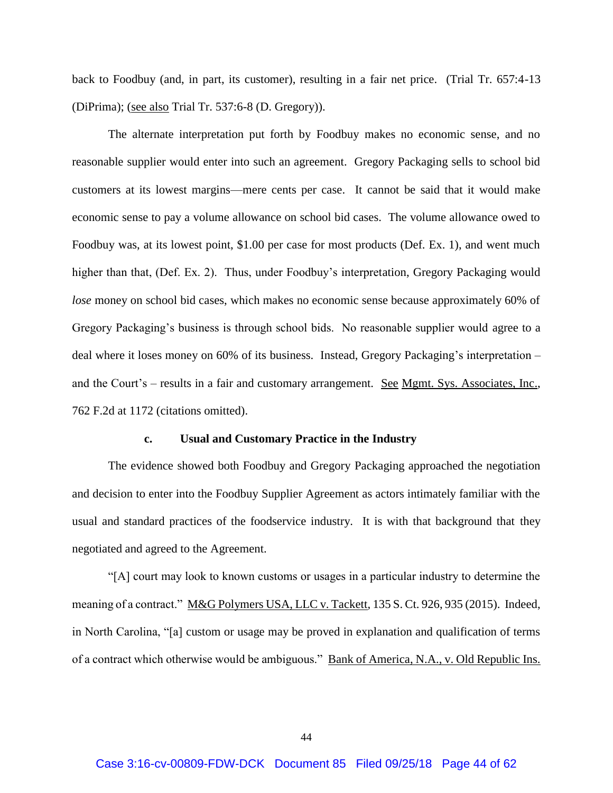back to Foodbuy (and, in part, its customer), resulting in a fair net price. (Trial Tr. 657:4-13 (DiPrima); (see also Trial Tr. 537:6-8 (D. Gregory)).

The alternate interpretation put forth by Foodbuy makes no economic sense, and no reasonable supplier would enter into such an agreement. Gregory Packaging sells to school bid customers at its lowest margins—mere cents per case. It cannot be said that it would make economic sense to pay a volume allowance on school bid cases. The volume allowance owed to Foodbuy was, at its lowest point, \$1.00 per case for most products (Def. Ex. 1), and went much higher than that, (Def. Ex. 2). Thus, under Foodbuy's interpretation, Gregory Packaging would *lose* money on school bid cases, which makes no economic sense because approximately 60% of Gregory Packaging's business is through school bids. No reasonable supplier would agree to a deal where it loses money on 60% of its business. Instead, Gregory Packaging's interpretation – and the Court's – results in a fair and customary arrangement. See Mgmt. Sys. Associates, Inc., 762 F.2d at 1172 (citations omitted).

#### **c. Usual and Customary Practice in the Industry**

The evidence showed both Foodbuy and Gregory Packaging approached the negotiation and decision to enter into the Foodbuy Supplier Agreement as actors intimately familiar with the usual and standard practices of the foodservice industry. It is with that background that they negotiated and agreed to the Agreement.

"[A] court may look to known customs or usages in a particular industry to determine the meaning of a contract." M&G Polymers USA, LLC v. Tackett, 135 S. Ct. 926, 935 (2015). Indeed, in North Carolina, "[a] custom or usage may be proved in explanation and qualification of terms of a contract which otherwise would be ambiguous." Bank of America, N.A., v. Old Republic Ins.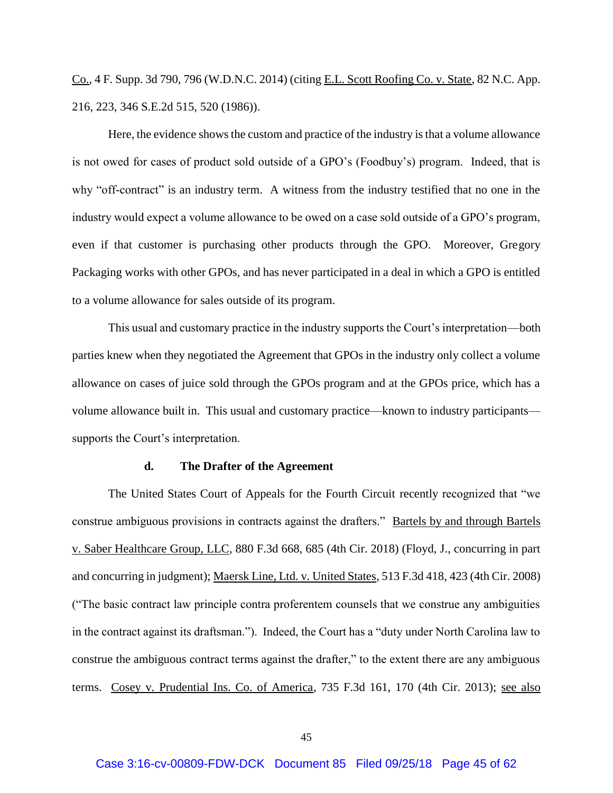Co., 4 F. Supp. 3d 790, 796 (W.D.N.C. 2014) (citing E.L. Scott Roofing Co. v. State, 82 N.C. App. 216, 223, 346 S.E.2d 515, 520 (1986)).

Here, the evidence shows the custom and practice of the industry is that a volume allowance is not owed for cases of product sold outside of a GPO's (Foodbuy's) program. Indeed, that is why "off-contract" is an industry term. A witness from the industry testified that no one in the industry would expect a volume allowance to be owed on a case sold outside of a GPO's program, even if that customer is purchasing other products through the GPO. Moreover, Gregory Packaging works with other GPOs, and has never participated in a deal in which a GPO is entitled to a volume allowance for sales outside of its program.

This usual and customary practice in the industry supports the Court's interpretation—both parties knew when they negotiated the Agreement that GPOs in the industry only collect a volume allowance on cases of juice sold through the GPOs program and at the GPOs price, which has a volume allowance built in. This usual and customary practice—known to industry participants supports the Court's interpretation.

#### **d. The Drafter of the Agreement**

The United States Court of Appeals for the Fourth Circuit recently recognized that "we construe ambiguous provisions in contracts against the drafters." Bartels by and through Bartels v. Saber Healthcare Group, LLC, 880 F.3d 668, 685 (4th Cir. 2018) (Floyd, J., concurring in part and concurring in judgment); Maersk Line, Ltd. v. United States, 513 F.3d 418, 423 (4th Cir. 2008) ("The basic contract law principle contra proferentem counsels that we construe any ambiguities in the contract against its draftsman."). Indeed, the Court has a "duty under North Carolina law to construe the ambiguous contract terms against the drafter," to the extent there are any ambiguous terms. Cosey v. Prudential Ins. Co. of America, 735 F.3d 161, 170 (4th Cir. 2013); see also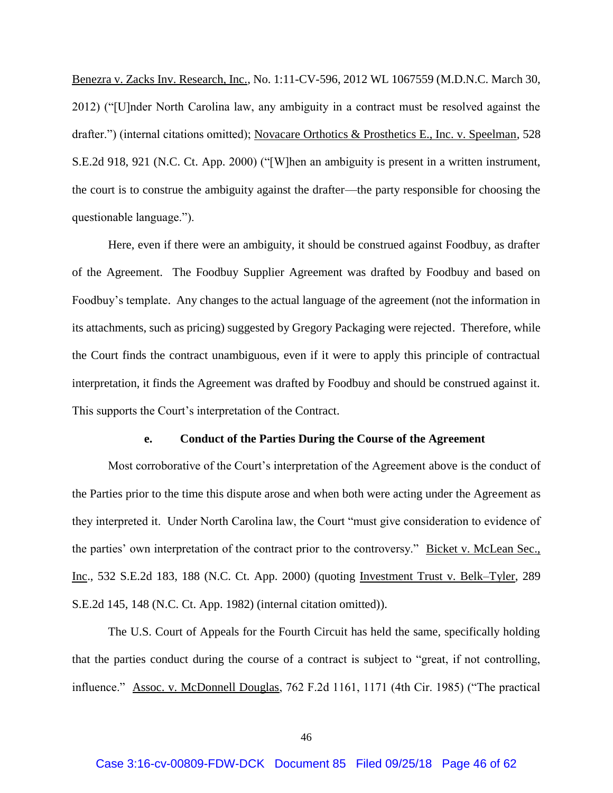Benezra v. Zacks Inv. Research, Inc., No. 1:11-CV-596, 2012 WL 1067559 (M.D.N.C. March 30, 2012) ("[U]nder North Carolina law, any ambiguity in a contract must be resolved against the drafter.") (internal citations omitted); Novacare Orthotics & Prosthetics E., Inc. v. Speelman, 528 S.E.2d 918, 921 (N.C. Ct. App. 2000) ("[W]hen an ambiguity is present in a written instrument, the court is to construe the ambiguity against the drafter—the party responsible for choosing the questionable language.").

Here, even if there were an ambiguity, it should be construed against Foodbuy, as drafter of the Agreement. The Foodbuy Supplier Agreement was drafted by Foodbuy and based on Foodbuy's template. Any changes to the actual language of the agreement (not the information in its attachments, such as pricing) suggested by Gregory Packaging were rejected. Therefore, while the Court finds the contract unambiguous, even if it were to apply this principle of contractual interpretation, it finds the Agreement was drafted by Foodbuy and should be construed against it. This supports the Court's interpretation of the Contract.

#### **e. Conduct of the Parties During the Course of the Agreement**

Most corroborative of the Court's interpretation of the Agreement above is the conduct of the Parties prior to the time this dispute arose and when both were acting under the Agreement as they interpreted it. Under North Carolina law, the Court "must give consideration to evidence of the parties' own interpretation of the contract prior to the controversy." Bicket v. McLean Sec., Inc., 532 S.E.2d 183, 188 (N.C. Ct. App. 2000) (quoting Investment Trust v. Belk–Tyler, 289 S.E.2d 145, 148 (N.C. Ct. App. 1982) (internal citation omitted)).

The U.S. Court of Appeals for the Fourth Circuit has held the same, specifically holding that the parties conduct during the course of a contract is subject to "great, if not controlling, influence." Assoc. v. McDonnell Douglas, 762 F.2d 1161, 1171 (4th Cir. 1985) ("The practical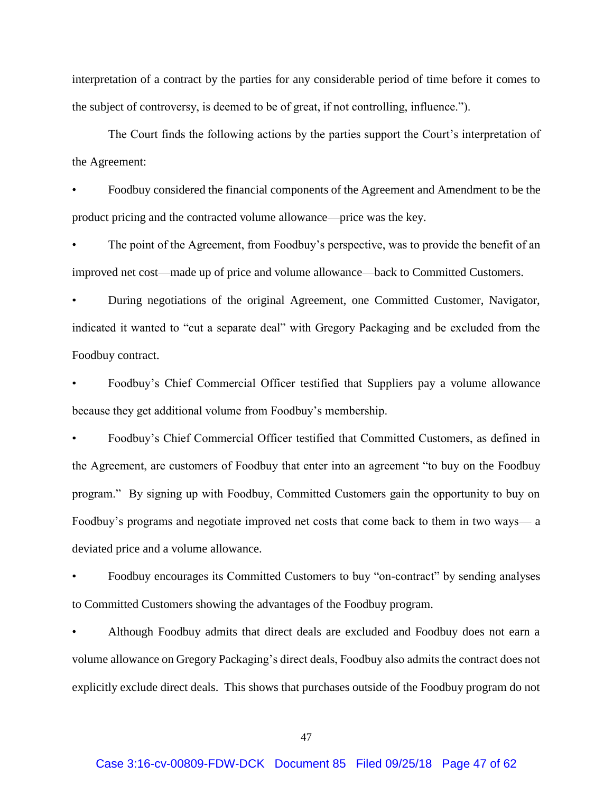interpretation of a contract by the parties for any considerable period of time before it comes to the subject of controversy, is deemed to be of great, if not controlling, influence.").

The Court finds the following actions by the parties support the Court's interpretation of the Agreement:

• Foodbuy considered the financial components of the Agreement and Amendment to be the product pricing and the contracted volume allowance—price was the key.

The point of the Agreement, from Foodbuy's perspective, was to provide the benefit of an improved net cost—made up of price and volume allowance—back to Committed Customers.

• During negotiations of the original Agreement, one Committed Customer, Navigator, indicated it wanted to "cut a separate deal" with Gregory Packaging and be excluded from the Foodbuy contract.

• Foodbuy's Chief Commercial Officer testified that Suppliers pay a volume allowance because they get additional volume from Foodbuy's membership.

• Foodbuy's Chief Commercial Officer testified that Committed Customers, as defined in the Agreement, are customers of Foodbuy that enter into an agreement "to buy on the Foodbuy program." By signing up with Foodbuy, Committed Customers gain the opportunity to buy on Foodbuy's programs and negotiate improved net costs that come back to them in two ways— a deviated price and a volume allowance.

• Foodbuy encourages its Committed Customers to buy "on-contract" by sending analyses to Committed Customers showing the advantages of the Foodbuy program.

• Although Foodbuy admits that direct deals are excluded and Foodbuy does not earn a volume allowance on Gregory Packaging's direct deals, Foodbuy also admits the contract does not explicitly exclude direct deals. This shows that purchases outside of the Foodbuy program do not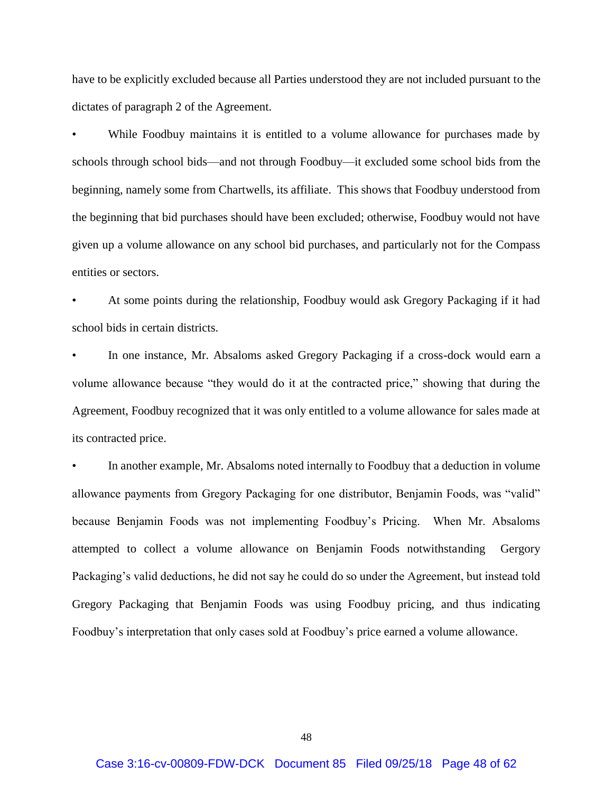have to be explicitly excluded because all Parties understood they are not included pursuant to the dictates of paragraph 2 of the Agreement.

While Foodbuy maintains it is entitled to a volume allowance for purchases made by schools through school bids—and not through Foodbuy—it excluded some school bids from the beginning, namely some from Chartwells, its affiliate. This shows that Foodbuy understood from the beginning that bid purchases should have been excluded; otherwise, Foodbuy would not have given up a volume allowance on any school bid purchases, and particularly not for the Compass entities or sectors.

• At some points during the relationship, Foodbuy would ask Gregory Packaging if it had school bids in certain districts.

• In one instance, Mr. Absaloms asked Gregory Packaging if a cross-dock would earn a volume allowance because "they would do it at the contracted price," showing that during the Agreement, Foodbuy recognized that it was only entitled to a volume allowance for sales made at its contracted price.

In another example, Mr. Absaloms noted internally to Foodbuy that a deduction in volume allowance payments from Gregory Packaging for one distributor, Benjamin Foods, was "valid" because Benjamin Foods was not implementing Foodbuy's Pricing. When Mr. Absaloms attempted to collect a volume allowance on Benjamin Foods notwithstanding Gergory Packaging's valid deductions, he did not say he could do so under the Agreement, but instead told Gregory Packaging that Benjamin Foods was using Foodbuy pricing, and thus indicating Foodbuy's interpretation that only cases sold at Foodbuy's price earned a volume allowance.

48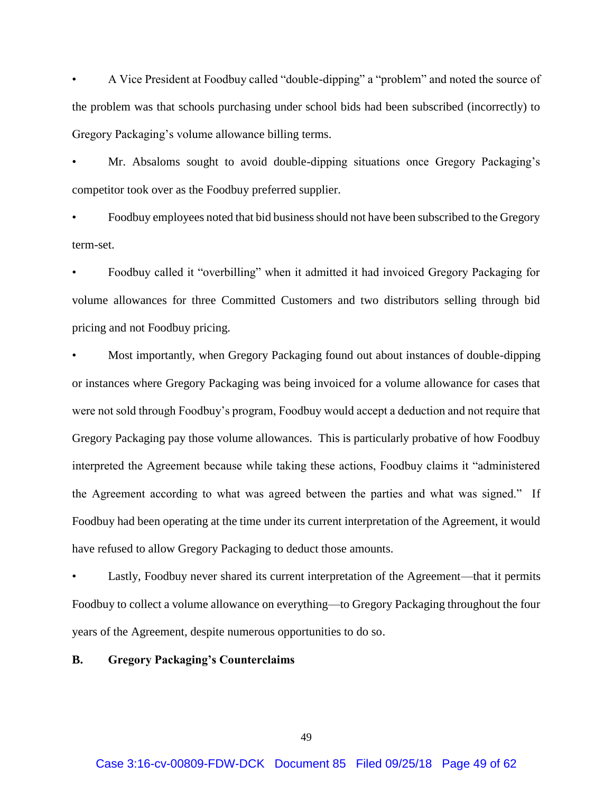• A Vice President at Foodbuy called "double-dipping" a "problem" and noted the source of the problem was that schools purchasing under school bids had been subscribed (incorrectly) to Gregory Packaging's volume allowance billing terms.

• Mr. Absaloms sought to avoid double-dipping situations once Gregory Packaging's competitor took over as the Foodbuy preferred supplier.

• Foodbuy employees noted that bid business should not have been subscribed to the Gregory term-set.

• Foodbuy called it "overbilling" when it admitted it had invoiced Gregory Packaging for volume allowances for three Committed Customers and two distributors selling through bid pricing and not Foodbuy pricing.

• Most importantly, when Gregory Packaging found out about instances of double-dipping or instances where Gregory Packaging was being invoiced for a volume allowance for cases that were not sold through Foodbuy's program, Foodbuy would accept a deduction and not require that Gregory Packaging pay those volume allowances. This is particularly probative of how Foodbuy interpreted the Agreement because while taking these actions, Foodbuy claims it "administered the Agreement according to what was agreed between the parties and what was signed." If Foodbuy had been operating at the time under its current interpretation of the Agreement, it would have refused to allow Gregory Packaging to deduct those amounts.

Lastly, Foodbuy never shared its current interpretation of the Agreement—that it permits Foodbuy to collect a volume allowance on everything—to Gregory Packaging throughout the four years of the Agreement, despite numerous opportunities to do so.

**B. Gregory Packaging's Counterclaims**

49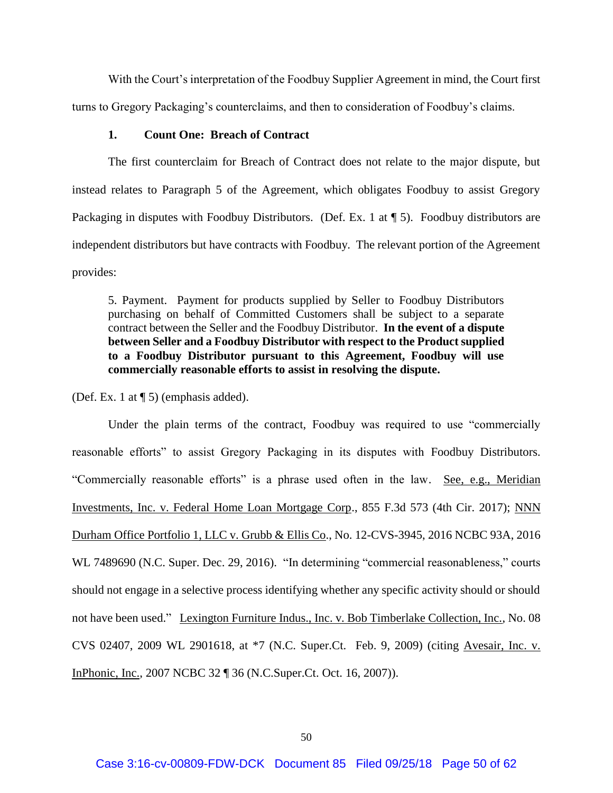With the Court's interpretation of the Foodbuy Supplier Agreement in mind, the Court first turns to Gregory Packaging's counterclaims, and then to consideration of Foodbuy's claims.

### **1. Count One: Breach of Contract**

The first counterclaim for Breach of Contract does not relate to the major dispute, but instead relates to Paragraph 5 of the Agreement, which obligates Foodbuy to assist Gregory Packaging in disputes with Foodbuy Distributors. (Def. Ex. 1 at  $\P$  5). Foodbuy distributors are independent distributors but have contracts with Foodbuy. The relevant portion of the Agreement provides:

5. Payment. Payment for products supplied by Seller to Foodbuy Distributors purchasing on behalf of Committed Customers shall be subject to a separate contract between the Seller and the Foodbuy Distributor. **In the event of a dispute between Seller and a Foodbuy Distributor with respect to the Product supplied to a Foodbuy Distributor pursuant to this Agreement, Foodbuy will use commercially reasonable efforts to assist in resolving the dispute.**

(Def. Ex. 1 at ¶ 5) (emphasis added).

Under the plain terms of the contract, Foodbuy was required to use "commercially reasonable efforts" to assist Gregory Packaging in its disputes with Foodbuy Distributors. "Commercially reasonable efforts" is a phrase used often in the law. See, e.g., Meridian Investments, Inc. v. Federal Home Loan Mortgage Corp., 855 F.3d 573 (4th Cir. 2017); NNN Durham Office Portfolio 1, LLC v. Grubb & Ellis Co., No. 12-CVS-3945, 2016 NCBC 93A, 2016 WL 7489690 (N.C. Super. Dec. 29, 2016). "In determining "commercial reasonableness," courts should not engage in a selective process identifying whether any specific activity should or should not have been used." Lexington Furniture Indus., Inc. v. Bob Timberlake Collection, Inc., No. 08 CVS 02407, 2009 WL 2901618, at \*7 (N.C. Super.Ct. Feb. 9, 2009) (citing Avesair, Inc. v. InPhonic, Inc., 2007 NCBC 32 ¶ 36 (N.C.Super.Ct. Oct. 16, 2007)).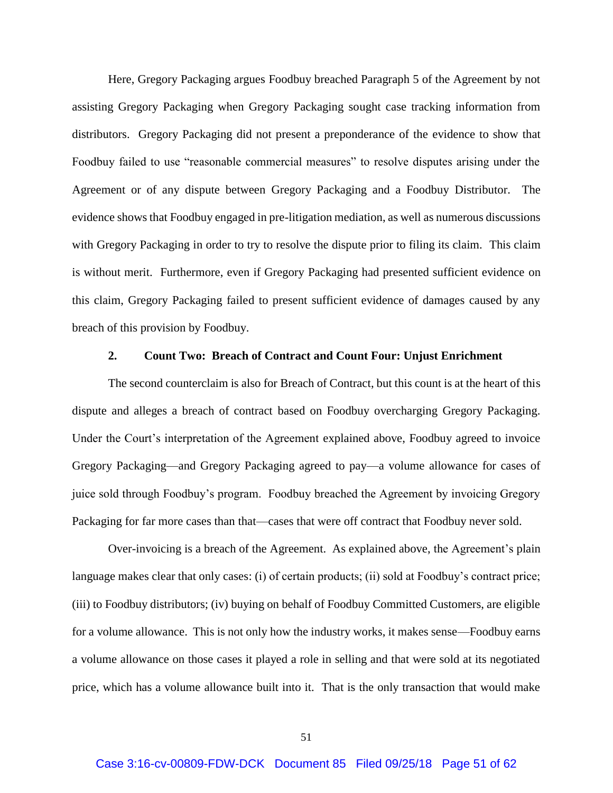Here, Gregory Packaging argues Foodbuy breached Paragraph 5 of the Agreement by not assisting Gregory Packaging when Gregory Packaging sought case tracking information from distributors. Gregory Packaging did not present a preponderance of the evidence to show that Foodbuy failed to use "reasonable commercial measures" to resolve disputes arising under the Agreement or of any dispute between Gregory Packaging and a Foodbuy Distributor. The evidence shows that Foodbuy engaged in pre-litigation mediation, as well as numerous discussions with Gregory Packaging in order to try to resolve the dispute prior to filing its claim. This claim is without merit. Furthermore, even if Gregory Packaging had presented sufficient evidence on this claim, Gregory Packaging failed to present sufficient evidence of damages caused by any breach of this provision by Foodbuy.

### **2. Count Two: Breach of Contract and Count Four: Unjust Enrichment**

The second counterclaim is also for Breach of Contract, but this count is at the heart of this dispute and alleges a breach of contract based on Foodbuy overcharging Gregory Packaging. Under the Court's interpretation of the Agreement explained above, Foodbuy agreed to invoice Gregory Packaging—and Gregory Packaging agreed to pay—a volume allowance for cases of juice sold through Foodbuy's program. Foodbuy breached the Agreement by invoicing Gregory Packaging for far more cases than that—cases that were off contract that Foodbuy never sold.

Over-invoicing is a breach of the Agreement. As explained above, the Agreement's plain language makes clear that only cases: (i) of certain products; (ii) sold at Foodbuy's contract price; (iii) to Foodbuy distributors; (iv) buying on behalf of Foodbuy Committed Customers, are eligible for a volume allowance. This is not only how the industry works, it makes sense—Foodbuy earns a volume allowance on those cases it played a role in selling and that were sold at its negotiated price, which has a volume allowance built into it. That is the only transaction that would make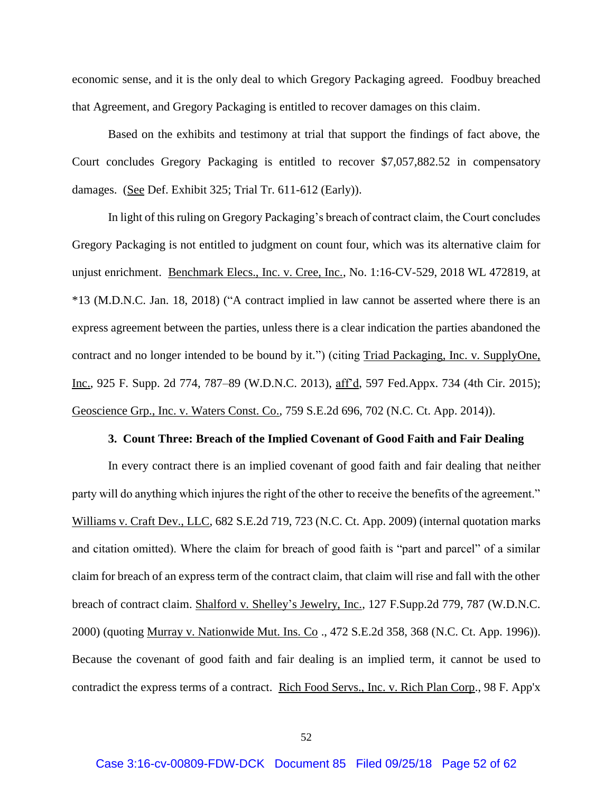economic sense, and it is the only deal to which Gregory Packaging agreed. Foodbuy breached that Agreement, and Gregory Packaging is entitled to recover damages on this claim.

Based on the exhibits and testimony at trial that support the findings of fact above, the Court concludes Gregory Packaging is entitled to recover \$7,057,882.52 in compensatory damages. (See Def. Exhibit 325; Trial Tr. 611-612 (Early)).

In light of this ruling on Gregory Packaging's breach of contract claim, the Court concludes Gregory Packaging is not entitled to judgment on count four, which was its alternative claim for unjust enrichment. Benchmark Elecs., Inc. v. Cree, Inc., No. 1:16-CV-529, 2018 WL 472819, at \*13 (M.D.N.C. Jan. 18, 2018) ("A contract implied in law cannot be asserted where there is an express agreement between the parties, unless there is a clear indication the parties abandoned the contract and no longer intended to be bound by it.") (citing Triad Packaging, Inc. v. SupplyOne, Inc., 925 F. Supp. 2d 774, 787–89 (W.D.N.C. 2013), aff'd, 597 Fed.Appx. 734 (4th Cir. 2015); Geoscience Grp., Inc. v. Waters Const. Co., 759 S.E.2d 696, 702 (N.C. Ct. App. 2014)).

## **3. Count Three: Breach of the Implied Covenant of Good Faith and Fair Dealing**

In every contract there is an implied covenant of good faith and fair dealing that neither party will do anything which injures the right of the other to receive the benefits of the agreement." Williams v. Craft Dev., LLC, 682 S.E.2d 719, 723 (N.C. Ct. App. 2009) (internal quotation marks and citation omitted). Where the claim for breach of good faith is "part and parcel" of a similar claim for breach of an express term of the contract claim, that claim will rise and fall with the other breach of contract claim. Shalford v. Shelley's Jewelry, Inc., 127 F.Supp.2d 779, 787 (W.D.N.C. 2000) (quoting Murray v. Nationwide Mut. Ins. Co ., 472 S.E.2d 358, 368 (N.C. Ct. App. 1996)). Because the covenant of good faith and fair dealing is an implied term, it cannot be used to contradict the express terms of a contract. Rich Food Servs., Inc. v. Rich Plan Corp., 98 F. App'x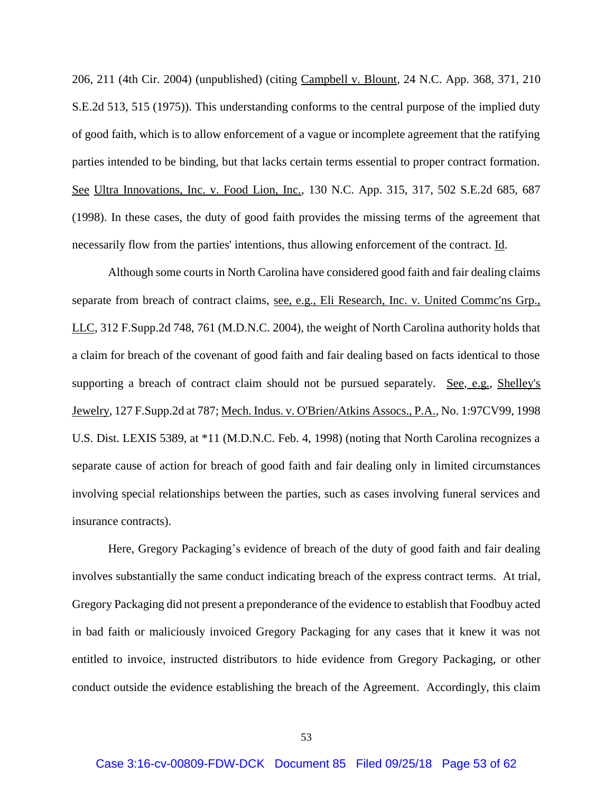206, 211 (4th Cir. 2004) (unpublished) (citing Campbell v. Blount, 24 N.C. App. 368, 371, 210 S.E.2d 513, 515 (1975)). This understanding conforms to the central purpose of the implied duty of good faith, which is to allow enforcement of a vague or incomplete agreement that the ratifying parties intended to be binding, but that lacks certain terms essential to proper contract formation. See Ultra Innovations, Inc. v. Food Lion, Inc., 130 N.C. App. 315, 317, 502 S.E.2d 685, 687 (1998). In these cases, the duty of good faith provides the missing terms of the agreement that necessarily flow from the parties' intentions, thus allowing enforcement of the contract. Id.

Although some courts in North Carolina have considered good faith and fair dealing claims separate from breach of contract claims, see, e.g., Eli Research, Inc. v. United Commc'ns Grp., LLC, 312 F.Supp.2d 748, 761 (M.D.N.C. 2004), the weight of North Carolina authority holds that a claim for breach of the covenant of good faith and fair dealing based on facts identical to those supporting a breach of contract claim should not be pursued separately. See, e.g., Shelley's Jewelry, 127 F.Supp.2d at 787; Mech. Indus. v. O'Brien/Atkins Assocs., P.A., No. 1:97CV99, 1998 U.S. Dist. LEXIS 5389, at \*11 (M.D.N.C. Feb. 4, 1998) (noting that North Carolina recognizes a separate cause of action for breach of good faith and fair dealing only in limited circumstances involving special relationships between the parties, such as cases involving funeral services and insurance contracts).

Here, Gregory Packaging's evidence of breach of the duty of good faith and fair dealing involves substantially the same conduct indicating breach of the express contract terms. At trial, Gregory Packaging did not present a preponderance of the evidence to establish that Foodbuy acted in bad faith or maliciously invoiced Gregory Packaging for any cases that it knew it was not entitled to invoice, instructed distributors to hide evidence from Gregory Packaging, or other conduct outside the evidence establishing the breach of the Agreement. Accordingly, this claim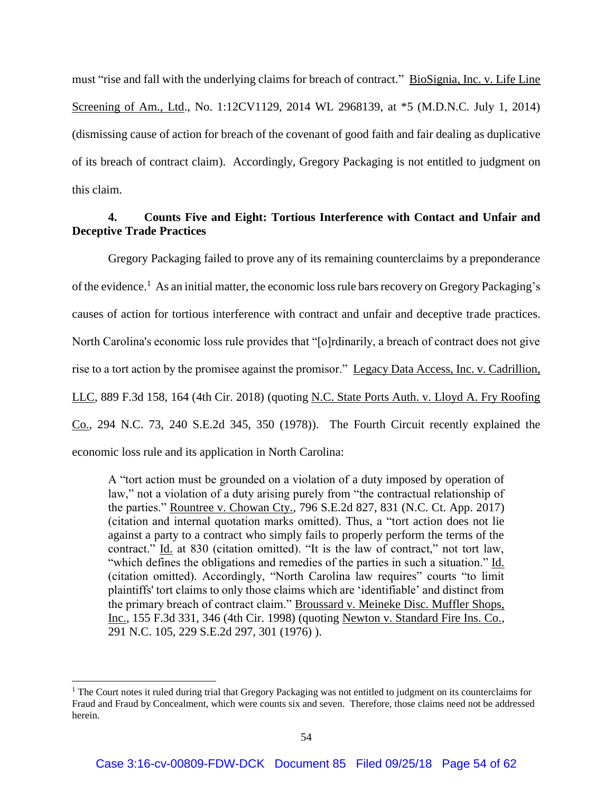must "rise and fall with the underlying claims for breach of contract." BioSignia, Inc. v. Life Line Screening of Am., Ltd., No. 1:12CV1129, 2014 WL 2968139, at \*5 (M.D.N.C. July 1, 2014) (dismissing cause of action for breach of the covenant of good faith and fair dealing as duplicative of its breach of contract claim). Accordingly, Gregory Packaging is not entitled to judgment on this claim.

# **4. Counts Five and Eight: Tortious Interference with Contact and Unfair and Deceptive Trade Practices**

Gregory Packaging failed to prove any of its remaining counterclaims by a preponderance of the evidence.<sup>1</sup> As an initial matter, the economic loss rule bars recovery on Gregory Packaging's causes of action for tortious interference with contract and unfair and deceptive trade practices. North Carolina's economic loss rule provides that "[o]rdinarily, a breach of contract does not give rise to a tort action by the promisee against the promisor." Legacy Data Access, Inc. v. Cadrillion, LLC, 889 F.3d 158, 164 (4th Cir. 2018) (quoting N.C. State Ports Auth. v. Lloyd A. Fry Roofing Co., 294 N.C. 73, 240 S.E.2d 345, 350 (1978)). The Fourth Circuit recently explained the economic loss rule and its application in North Carolina:

A "tort action must be grounded on a violation of a duty imposed by operation of law," not a violation of a duty arising purely from "the contractual relationship of the parties." Rountree v. Chowan Cty., 796 S.E.2d 827, 831 (N.C. Ct. App. 2017) (citation and internal quotation marks omitted). Thus, a "tort action does not lie against a party to a contract who simply fails to properly perform the terms of the contract." Id. at 830 (citation omitted). "It is the law of contract," not tort law, "which defines the obligations and remedies of the parties in such a situation." Id. (citation omitted). Accordingly, "North Carolina law requires" courts "to limit plaintiffs' tort claims to only those claims which are 'identifiable' and distinct from the primary breach of contract claim." Broussard v. Meineke Disc. Muffler Shops, Inc., 155 F.3d 331, 346 (4th Cir. 1998) (quoting Newton v. Standard Fire Ins. Co., 291 N.C. 105, 229 S.E.2d 297, 301 (1976) ).

 $\overline{\phantom{a}}$ 

 $1$  The Court notes it ruled during trial that Gregory Packaging was not entitled to judgment on its counterclaims for Fraud and Fraud by Concealment, which were counts six and seven. Therefore, those claims need not be addressed herein.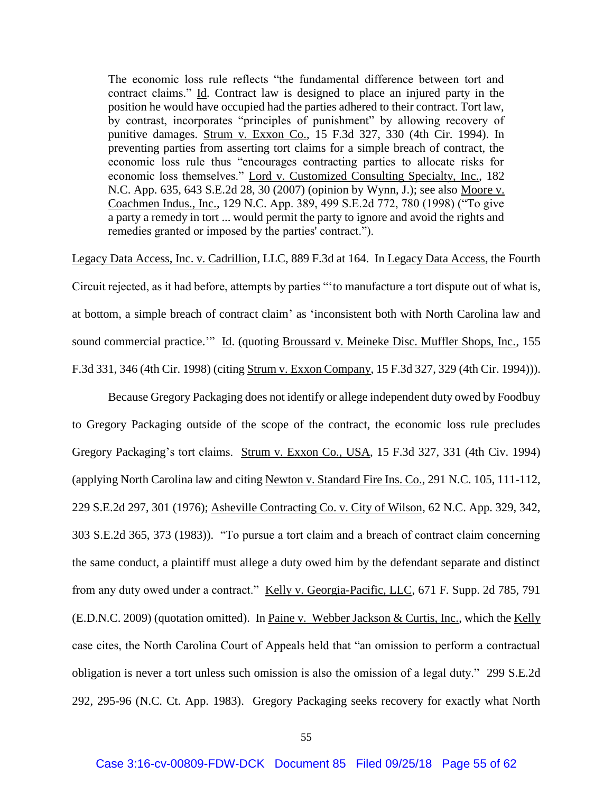The economic loss rule reflects "the fundamental difference between tort and contract claims." Id. Contract law is designed to place an injured party in the position he would have occupied had the parties adhered to their contract. Tort law, by contrast, incorporates "principles of punishment" by allowing recovery of punitive damages. Strum v. Exxon Co., 15 F.3d 327, 330 (4th Cir. 1994). In preventing parties from asserting tort claims for a simple breach of contract, the economic loss rule thus "encourages contracting parties to allocate risks for economic loss themselves." Lord v. Customized Consulting Specialty, Inc., 182 N.C. App. 635, 643 S.E.2d 28, 30 (2007) (opinion by Wynn, J.); see also Moore v. Coachmen Indus., Inc., 129 N.C. App. 389, 499 S.E.2d 772, 780 (1998) ("To give a party a remedy in tort ... would permit the party to ignore and avoid the rights and remedies granted or imposed by the parties' contract.").

Legacy Data Access, Inc. v. Cadrillion, LLC, 889 F.3d at 164. In Legacy Data Access, the Fourth Circuit rejected, as it had before, attempts by parties "'to manufacture a tort dispute out of what is, at bottom, a simple breach of contract claim' as 'inconsistent both with North Carolina law and sound commercial practice.'" Id. (quoting Broussard v. Meineke Disc. Muffler Shops, Inc., 155 F.3d 331, 346 (4th Cir. 1998) (citing Strum v. Exxon Company, 15 F.3d 327, 329 (4th Cir. 1994))).

Because Gregory Packaging does not identify or allege independent duty owed by Foodbuy to Gregory Packaging outside of the scope of the contract, the economic loss rule precludes Gregory Packaging's tort claims. Strum v. Exxon Co., USA, 15 F.3d 327, 331 (4th Civ. 1994) (applying North Carolina law and citing Newton v. Standard Fire Ins. Co., 291 N.C. 105, 111-112, 229 S.E.2d 297, 301 (1976); Asheville Contracting Co. v. City of Wilson, 62 N.C. App. 329, 342, 303 S.E.2d 365, 373 (1983)). "To pursue a tort claim and a breach of contract claim concerning the same conduct, a plaintiff must allege a duty owed him by the defendant separate and distinct from any duty owed under a contract." Kelly v. Georgia-Pacific, LLC, 671 F. Supp. 2d 785, 791 (E.D.N.C. 2009) (quotation omitted). In Paine v. Webber Jackson & Curtis, Inc., which the Kelly case cites, the North Carolina Court of Appeals held that "an omission to perform a contractual obligation is never a tort unless such omission is also the omission of a legal duty." 299 S.E.2d 292, 295-96 (N.C. Ct. App. 1983). Gregory Packaging seeks recovery for exactly what North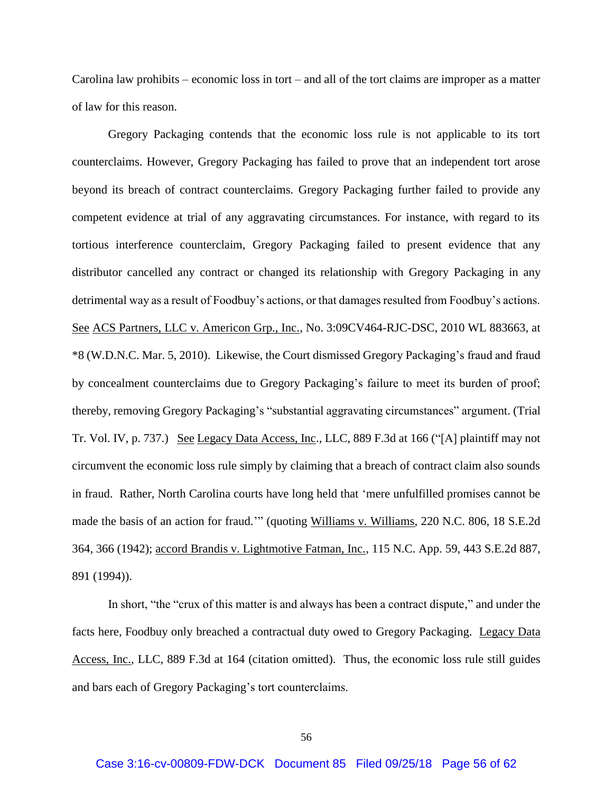Carolina law prohibits – economic loss in tort – and all of the tort claims are improper as a matter of law for this reason.

Gregory Packaging contends that the economic loss rule is not applicable to its tort counterclaims. However, Gregory Packaging has failed to prove that an independent tort arose beyond its breach of contract counterclaims. Gregory Packaging further failed to provide any competent evidence at trial of any aggravating circumstances. For instance, with regard to its tortious interference counterclaim, Gregory Packaging failed to present evidence that any distributor cancelled any contract or changed its relationship with Gregory Packaging in any detrimental way as a result of Foodbuy's actions, or that damages resulted from Foodbuy's actions. See ACS Partners, LLC v. Americon Grp., Inc., No. 3:09CV464-RJC-DSC, 2010 WL 883663, at \*8 (W.D.N.C. Mar. 5, 2010). Likewise, the Court dismissed Gregory Packaging's fraud and fraud by concealment counterclaims due to Gregory Packaging's failure to meet its burden of proof; thereby, removing Gregory Packaging's "substantial aggravating circumstances" argument. (Trial Tr. Vol. IV, p. 737.) See Legacy Data Access, Inc., LLC, 889 F.3d at 166 ("[A] plaintiff may not circumvent the economic loss rule simply by claiming that a breach of contract claim also sounds in fraud. Rather, North Carolina courts have long held that 'mere unfulfilled promises cannot be made the basis of an action for fraud.'" (quoting Williams v. Williams, 220 N.C. 806, 18 S.E.2d 364, 366 (1942); accord Brandis v. Lightmotive Fatman, Inc., 115 N.C. App. 59, 443 S.E.2d 887, 891 (1994)).

In short, "the "crux of this matter is and always has been a contract dispute," and under the facts here, Foodbuy only breached a contractual duty owed to Gregory Packaging. Legacy Data Access, Inc., LLC, 889 F.3d at 164 (citation omitted). Thus, the economic loss rule still guides and bars each of Gregory Packaging's tort counterclaims.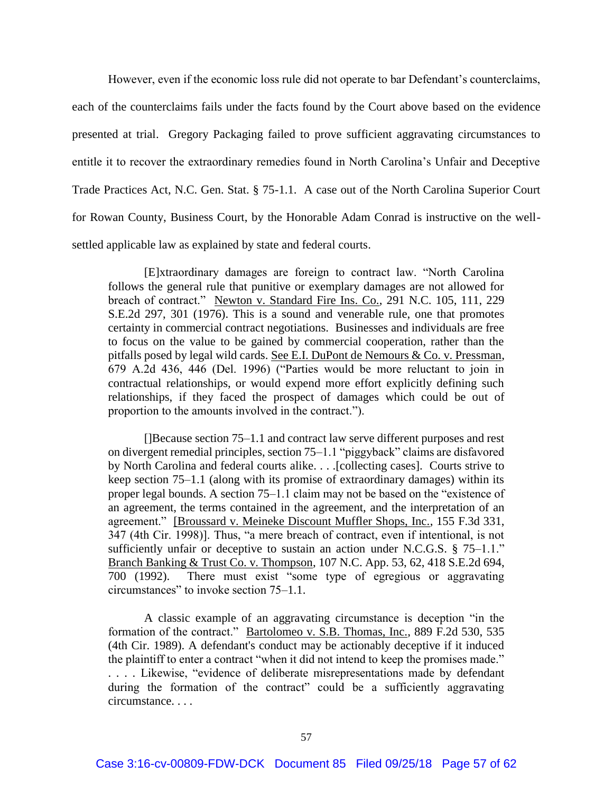However, even if the economic loss rule did not operate to bar Defendant's counterclaims, each of the counterclaims fails under the facts found by the Court above based on the evidence presented at trial. Gregory Packaging failed to prove sufficient aggravating circumstances to entitle it to recover the extraordinary remedies found in North Carolina's Unfair and Deceptive Trade Practices Act, N.C. Gen. Stat. § 75-1.1. A case out of the North Carolina Superior Court for Rowan County, Business Court, by the Honorable Adam Conrad is instructive on the wellsettled applicable law as explained by state and federal courts.

[E]xtraordinary damages are foreign to contract law. "North Carolina follows the general rule that punitive or exemplary damages are not allowed for breach of contract." Newton v. Standard Fire Ins. Co., 291 N.C. 105, 111, 229 S.E.2d 297, 301 (1976). This is a sound and venerable rule, one that promotes certainty in commercial contract negotiations. Businesses and individuals are free to focus on the value to be gained by commercial cooperation, rather than the pitfalls posed by legal wild cards. See E.I. DuPont de Nemours & Co. v. Pressman, 679 A.2d 436, 446 (Del. 1996) ("Parties would be more reluctant to join in contractual relationships, or would expend more effort explicitly defining such relationships, if they faced the prospect of damages which could be out of proportion to the amounts involved in the contract.").

[]Because section 75–1.1 and contract law serve different purposes and rest on divergent remedial principles, section 75–1.1 "piggyback" claims are disfavored by North Carolina and federal courts alike. . . .[collecting cases]. Courts strive to keep section 75–1.1 (along with its promise of extraordinary damages) within its proper legal bounds. A section 75–1.1 claim may not be based on the "existence of an agreement, the terms contained in the agreement, and the interpretation of an agreement." [Broussard v. Meineke Discount Muffler Shops, Inc., 155 F.3d 331, 347 (4th Cir. 1998)]. Thus, "a mere breach of contract, even if intentional, is not sufficiently unfair or deceptive to sustain an action under N.C.G.S.  $\S$  75–1.1." Branch Banking & Trust Co. v. Thompson, 107 N.C. App. 53, 62, 418 S.E.2d 694, 700 (1992). There must exist "some type of egregious or aggravating circumstances" to invoke section 75–1.1.

A classic example of an aggravating circumstance is deception "in the formation of the contract." Bartolomeo v. S.B. Thomas, Inc., 889 F.2d 530, 535 (4th Cir. 1989). A defendant's conduct may be actionably deceptive if it induced the plaintiff to enter a contract "when it did not intend to keep the promises made." . . . . Likewise, "evidence of deliberate misrepresentations made by defendant during the formation of the contract" could be a sufficiently aggravating circumstance. . . .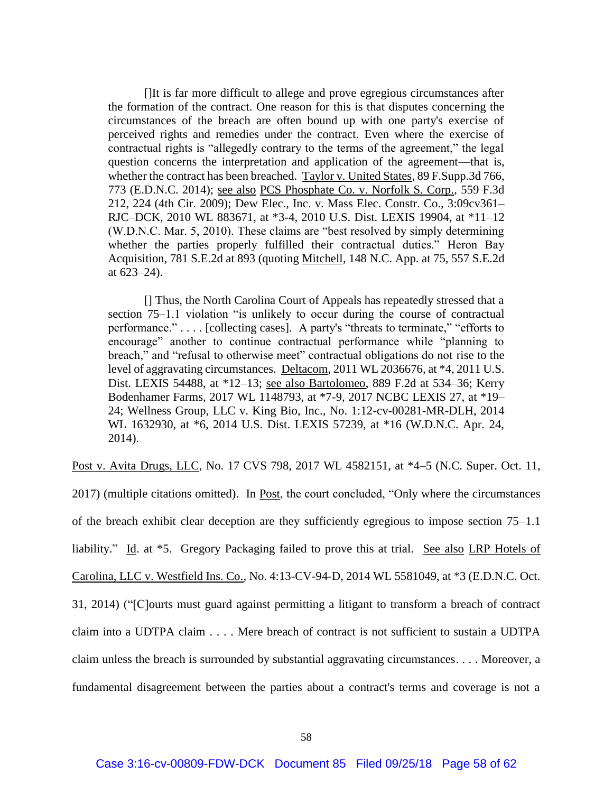[]It is far more difficult to allege and prove egregious circumstances after the formation of the contract. One reason for this is that disputes concerning the circumstances of the breach are often bound up with one party's exercise of perceived rights and remedies under the contract. Even where the exercise of contractual rights is "allegedly contrary to the terms of the agreement," the legal question concerns the interpretation and application of the agreement—that is, whether the contract has been breached. Taylor v. United States, 89 F.Supp.3d 766, 773 (E.D.N.C. 2014); see also PCS Phosphate Co. v. Norfolk S. Corp., 559 F.3d 212, 224 (4th Cir. 2009); Dew Elec., Inc. v. Mass Elec. Constr. Co., 3:09cv361– RJC–DCK, 2010 WL 883671, at \*3-4, 2010 U.S. Dist. LEXIS 19904, at \*11–12 (W.D.N.C. Mar. 5, 2010). These claims are "best resolved by simply determining whether the parties properly fulfilled their contractual duties." Heron Bay Acquisition, 781 S.E.2d at 893 (quoting Mitchell, 148 N.C. App. at 75, 557 S.E.2d at 623–24).

[] Thus, the North Carolina Court of Appeals has repeatedly stressed that a section 75–1.1 violation "is unlikely to occur during the course of contractual performance." . . . . [collecting cases]. A party's "threats to terminate," "efforts to encourage" another to continue contractual performance while "planning to breach," and "refusal to otherwise meet" contractual obligations do not rise to the level of aggravating circumstances. Deltacom, 2011 WL 2036676, at \*4, 2011 U.S. Dist. LEXIS 54488, at \*12–13; see also Bartolomeo, 889 F.2d at 534–36; Kerry Bodenhamer Farms, 2017 WL 1148793, at \*7-9, 2017 NCBC LEXIS 27, at \*19– 24; Wellness Group, LLC v. King Bio, Inc., No. 1:12-cv-00281-MR-DLH, 2014 WL 1632930, at \*6, 2014 U.S. Dist. LEXIS 57239, at \*16 (W.D.N.C. Apr. 24, 2014).

Post v. Avita Drugs, LLC, No. 17 CVS 798, 2017 WL 4582151, at \*4–5 (N.C. Super. Oct. 11,

2017) (multiple citations omitted). In <u>Post</u>, the court concluded, "Only where the circumstances" of the breach exhibit clear deception are they sufficiently egregious to impose section 75–1.1 liability." Id. at \*5. Gregory Packaging failed to prove this at trial. See also LRP Hotels of Carolina, LLC v. Westfield Ins. Co., No. 4:13-CV-94-D, 2014 WL 5581049, at \*3 (E.D.N.C. Oct. 31, 2014) ("[C]ourts must guard against permitting a litigant to transform a breach of contract claim into a UDTPA claim . . . . Mere breach of contract is not sufficient to sustain a UDTPA claim unless the breach is surrounded by substantial aggravating circumstances. . . . Moreover, a fundamental disagreement between the parties about a contract's terms and coverage is not a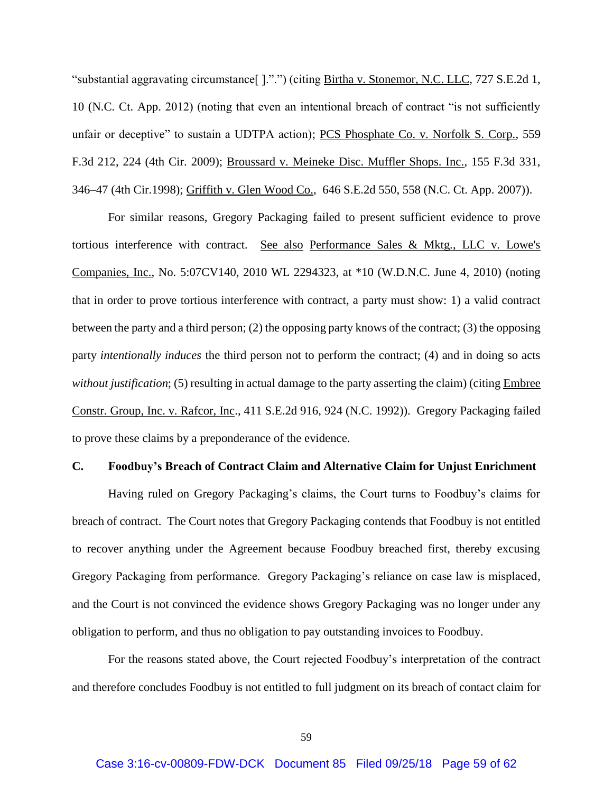"substantial aggravating circumstance[ ].".") (citing Birtha v. Stonemor, N.C. LLC, 727 S.E.2d 1, 10 (N.C. Ct. App. 2012) (noting that even an intentional breach of contract "is not sufficiently unfair or deceptive" to sustain a UDTPA action); PCS Phosphate Co. v. Norfolk S. Corp., 559 F.3d 212, 224 (4th Cir. 2009); Broussard v. Meineke Disc. Muffler Shops. Inc., 155 F.3d 331, 346–47 (4th Cir.1998); Griffith v. Glen Wood Co., 646 S.E.2d 550, 558 (N.C. Ct. App. 2007)).

For similar reasons, Gregory Packaging failed to present sufficient evidence to prove tortious interference with contract. See also Performance Sales & Mktg., LLC v. Lowe's Companies, Inc., No. 5:07CV140, 2010 WL 2294323, at \*10 (W.D.N.C. June 4, 2010) (noting that in order to prove tortious interference with contract, a party must show: 1) a valid contract between the party and a third person; (2) the opposing party knows of the contract; (3) the opposing party *intentionally induces* the third person not to perform the contract; (4) and in doing so acts *without justification*; (5) resulting in actual damage to the party asserting the claim) (citing Embree Constr. Group, Inc. v. Rafcor, Inc., 411 S.E.2d 916, 924 (N.C. 1992)). Gregory Packaging failed to prove these claims by a preponderance of the evidence.

### **C. Foodbuy's Breach of Contract Claim and Alternative Claim for Unjust Enrichment**

Having ruled on Gregory Packaging's claims, the Court turns to Foodbuy's claims for breach of contract. The Court notes that Gregory Packaging contends that Foodbuy is not entitled to recover anything under the Agreement because Foodbuy breached first, thereby excusing Gregory Packaging from performance. Gregory Packaging's reliance on case law is misplaced, and the Court is not convinced the evidence shows Gregory Packaging was no longer under any obligation to perform, and thus no obligation to pay outstanding invoices to Foodbuy.

For the reasons stated above, the Court rejected Foodbuy's interpretation of the contract and therefore concludes Foodbuy is not entitled to full judgment on its breach of contact claim for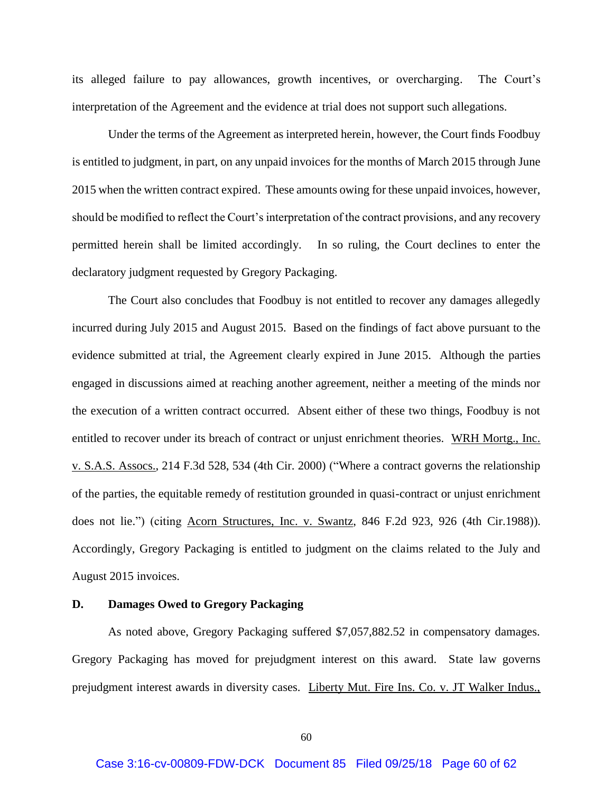its alleged failure to pay allowances, growth incentives, or overcharging. The Court's interpretation of the Agreement and the evidence at trial does not support such allegations.

Under the terms of the Agreement as interpreted herein, however, the Court finds Foodbuy is entitled to judgment, in part, on any unpaid invoices for the months of March 2015 through June 2015 when the written contract expired. These amounts owing for these unpaid invoices, however, should be modified to reflect the Court's interpretation of the contract provisions, and any recovery permitted herein shall be limited accordingly. In so ruling, the Court declines to enter the declaratory judgment requested by Gregory Packaging.

The Court also concludes that Foodbuy is not entitled to recover any damages allegedly incurred during July 2015 and August 2015. Based on the findings of fact above pursuant to the evidence submitted at trial, the Agreement clearly expired in June 2015. Although the parties engaged in discussions aimed at reaching another agreement, neither a meeting of the minds nor the execution of a written contract occurred. Absent either of these two things, Foodbuy is not entitled to recover under its breach of contract or unjust enrichment theories. WRH Mortg., Inc. v. S.A.S. Assocs., 214 F.3d 528, 534 (4th Cir. 2000) ("Where a contract governs the relationship of the parties, the equitable remedy of restitution grounded in quasi-contract or unjust enrichment does not lie.") (citing Acorn Structures, Inc. v. Swantz, 846 F.2d 923, 926 (4th Cir.1988)). Accordingly, Gregory Packaging is entitled to judgment on the claims related to the July and August 2015 invoices.

#### **D. Damages Owed to Gregory Packaging**

As noted above, Gregory Packaging suffered \$7,057,882.52 in compensatory damages. Gregory Packaging has moved for prejudgment interest on this award. State law governs prejudgment interest awards in diversity cases. Liberty Mut. Fire Ins. Co. v. JT Walker Indus.,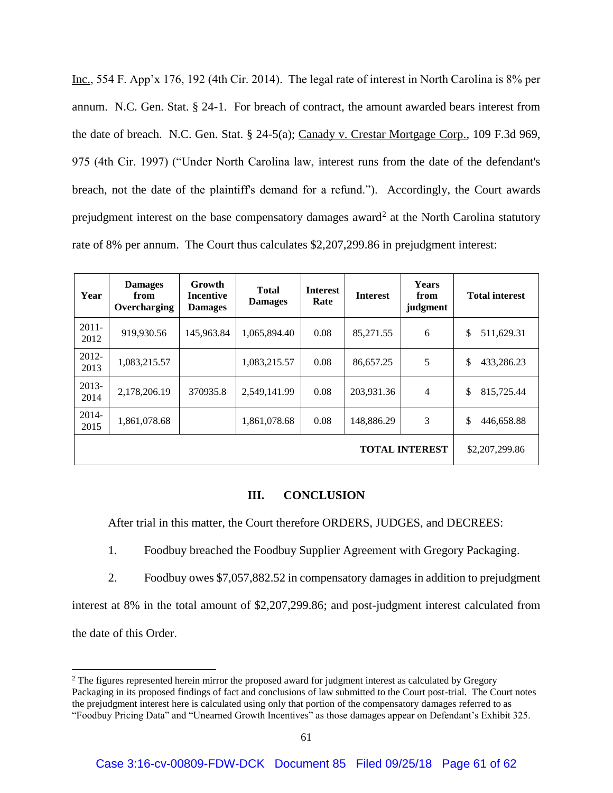Inc., 554 F. App'x 176, 192 (4th Cir. 2014). The legal rate of interest in North Carolina is 8% per annum. N.C. Gen. Stat. § 24-1. For breach of contract, the amount awarded bears interest from the date of breach. N.C. Gen. Stat. § 24-5(a); Canady v. Crestar Mortgage Corp., 109 F.3d 969, 975 (4th Cir. 1997) ("Under North Carolina law, interest runs from the date of the defendant's breach, not the date of the plaintiff's demand for a refund."). Accordingly, the Court awards prejudgment interest on the base compensatory damages award<sup>2</sup> at the North Carolina statutory rate of 8% per annum. The Court thus calculates \$2,207,299.86 in prejudgment interest:

| Year             | <b>Damages</b><br>from<br>Overcharging | Growth<br><b>Incentive</b><br><b>Damages</b> | <b>Total</b><br><b>Damages</b> | <b>Interest</b><br>Rate | <b>Interest</b> | <b>Years</b><br>from<br>judgment | <b>Total interest</b> |
|------------------|----------------------------------------|----------------------------------------------|--------------------------------|-------------------------|-----------------|----------------------------------|-----------------------|
| $2011 -$<br>2012 | 919,930.56                             | 145,963.84                                   | 1,065,894.40                   | 0.08                    | 85,271.55       | 6                                | \$<br>511,629.31      |
| $2012 -$<br>2013 | 1,083,215.57                           |                                              | 1,083,215.57                   | 0.08                    | 86,657.25       | 5                                | \$<br>433,286.23      |
| 2013-<br>2014    | 2,178,206.19                           | 370935.8                                     | 2,549,141.99                   | 0.08                    | 203,931.36      | $\overline{4}$                   | \$<br>815,725.44      |
| 2014-<br>2015    | 1,861,078.68                           |                                              | 1,861,078.68                   | 0.08                    | 148,886.29      | 3                                | \$<br>446,658.88      |
|                  | \$2,207,299.86                         |                                              |                                |                         |                 |                                  |                       |

## **III. CONCLUSION**

After trial in this matter, the Court therefore ORDERS, JUDGES, and DECREES:

- 1. Foodbuy breached the Foodbuy Supplier Agreement with Gregory Packaging.
- 2. Foodbuy owes \$7,057,882.52 in compensatory damages in addition to prejudgment

interest at 8% in the total amount of \$2,207,299.86; and post-judgment interest calculated from the date of this Order.

 $\overline{\phantom{a}}$ 

<sup>&</sup>lt;sup>2</sup> The figures represented herein mirror the proposed award for judgment interest as calculated by Gregory Packaging in its proposed findings of fact and conclusions of law submitted to the Court post-trial. The Court notes the prejudgment interest here is calculated using only that portion of the compensatory damages referred to as "Foodbuy Pricing Data" and "Unearned Growth Incentives" as those damages appear on Defendant's Exhibit 325.